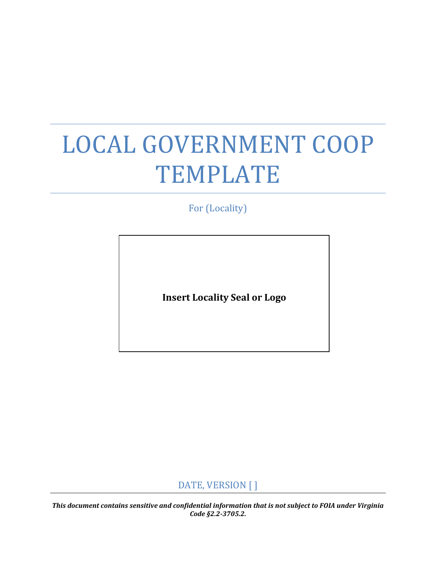# LOCAL GOVERNMENT COOP TEMPLATE

For (Locality)

**Insert Locality Seal or Logo** 

DATE, VERSION [ ]

 *Code §2.2-3705.2. This document contains sensitive and confidential information that is not subject to FOIA under Virginia*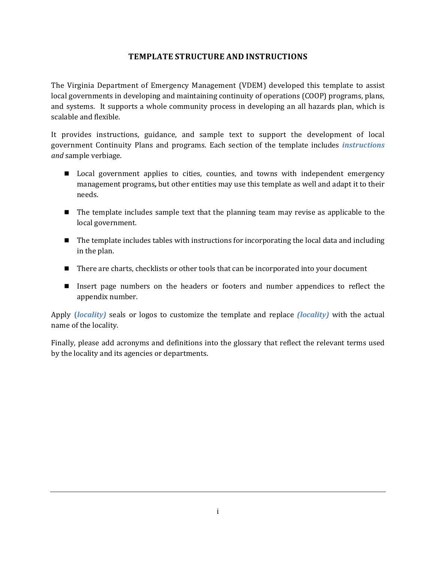## **TEMPLATE STRUCTURE AND INSTRUCTIONS**

<span id="page-1-0"></span>The Virginia Department of Emergency Management (VDEM) developed this template to assist local governments in developing and maintaining continuity of operations (COOP) programs, plans, and systems. It supports a whole community process in developing an all hazards plan, which is scalable and flexible.

It provides instructions, guidance, and sample text to support the development of local government Continuity Plans and programs. Each section of the template includes *instructions and* sample verbiage.

- **Local government applies to cities, counties, and towns with independent emergency** management programs*,* but other entities may use this template as well and adapt it to their needs.
- **The template includes sample text that the planning team may revise as applicable to the** local government.
- $\blacksquare$  The template includes tables with instructions for incorporating the local data and including in the plan.
- There are charts, checklists or other tools that can be incorporated into your document
- Insert page numbers on the headers or footers and number appendices to reflect the appendix number.

Apply **(***locality)* seals or logos to customize the template and replace *(locality)* with the actual name of the locality.

Finally, please add acronyms and definitions into the glossary that reflect the relevant terms used by the locality and its agencies or departments.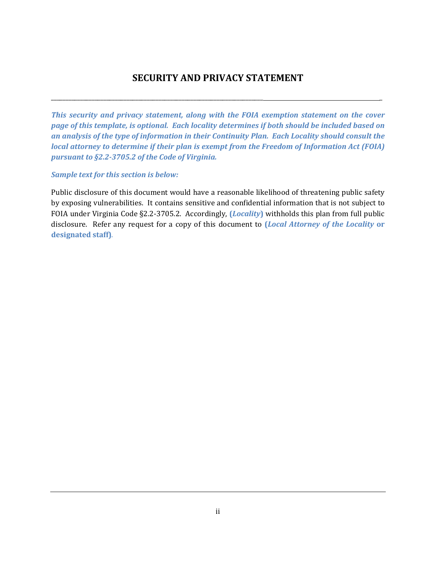# **SECURITY AND PRIVACY STATEMENT**

<span id="page-2-0"></span>\_\_\_\_\_\_\_\_\_\_\_\_\_\_\_\_\_\_\_\_\_\_\_\_\_\_\_\_\_\_\_\_\_\_\_\_\_\_\_\_\_\_\_\_\_\_\_\_\_\_\_\_\_\_\_\_\_\_\_\_\_\_\_\_\_\_\_\_\_\_\_\_\_ \_

*This security and privacy statement, along with the FOIA exemption statement on the cover page of this template, is optional. Each locality determines if both should be included based on an analysis of the type of information in their Continuity Plan. Each Locality should consult the local attorney to determine if their plan is exempt from the Freedom of Information Act (FOIA) pursuant to §2.2-3705.2 of the Code of Virginia.* 

## *Sample text for this section is below:*

Public disclosure of this document would have a reasonable likelihood of threatening public safety by exposing vulnerabilities. It contains sensitive and confidential information that is not subject to FOIA under Virginia Code §2.2-3705.2. Accordingly, **(***Locality***)** withholds this plan from full public disclosure. Refer any request for a copy of this document to **(***Local Attorney of the Locality* **or designated staff)***.*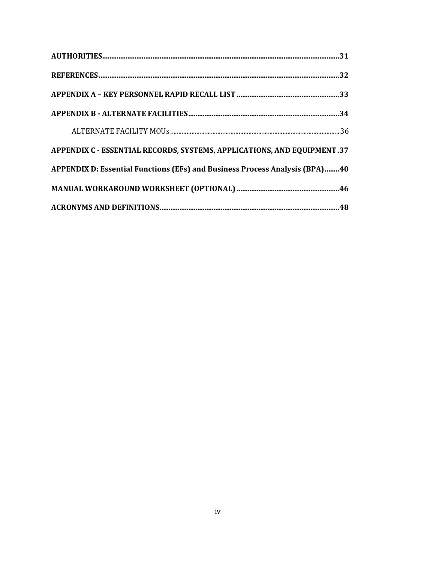| APPENDIX C - ESSENTIAL RECORDS, SYSTEMS, APPLICATIONS, AND EQUIPMENT.37     |
|-----------------------------------------------------------------------------|
| APPENDIX D: Essential Functions (EFs) and Business Process Analysis (BPA)40 |
|                                                                             |
|                                                                             |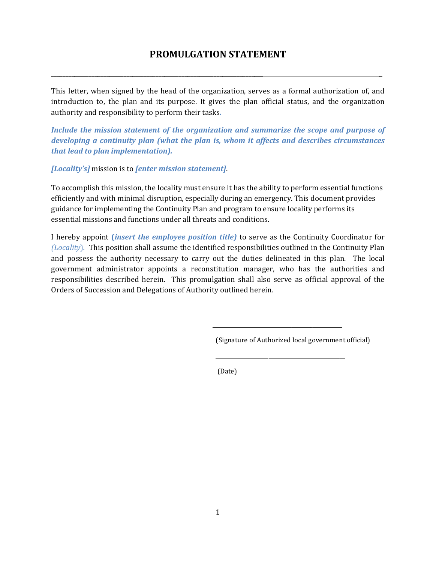# **PROMULGATION STATEMENT**

<span id="page-5-0"></span>\_\_\_\_\_\_\_\_\_\_\_\_\_\_\_\_\_\_\_\_\_\_\_\_\_\_\_\_\_\_\_\_\_\_\_\_\_\_\_\_\_\_\_\_\_\_\_\_\_\_\_\_\_\_\_\_\_\_\_\_\_\_\_\_\_\_\_\_\_\_\_\_\_ \_

This letter, when signed by the head of the organization, serves as a formal authorization of, and introduction to, the plan and its purpose. It gives the plan official status, and the organization authority and responsibility to perform their tasks*.* 

*Include the mission statement of the organization and summarize the scope and purpose of developing a continuity plan (what the plan is, whom it affects and describes circumstances that lead to plan implementation).* 

*[Locality's]* mission is to *[enter mission statement]*.

To accomplish this mission, the locality must ensure it has the ability to perform essential functions efficiently and with minimal disruption, especially during an emergency. This document provides guidance for implementing the Continuity Plan and program to ensure locality performs its essential missions and functions under all threats and conditions.

I hereby appoint **(***insert the employee position title)* to serve as the Continuity Coordinator for *(Locality*)*.* This position shall assume the identified responsibilities outlined in the Continuity Plan and possess the authority necessary to carry out the duties delineated in this plan. The local government administrator appoints a reconstitution manager, who has the authorities and responsibilities described herein. This promulgation shall also serve as official approval of the Orders of Succession and Delegations of Authority outlined herein.

\_\_\_\_\_\_\_\_\_\_\_\_\_\_\_\_\_\_\_\_\_\_\_\_\_\_\_\_\_\_\_\_\_\_\_\_\_\_\_\_\_\_\_\_\_\_\_\_\_

\_\_\_\_\_\_\_\_\_\_\_\_\_\_\_\_\_\_\_\_\_\_\_\_\_\_\_\_\_\_\_\_\_\_\_\_\_\_\_\_\_\_\_\_\_\_\_\_\_

(Signature of Authorized local government official)

(Date)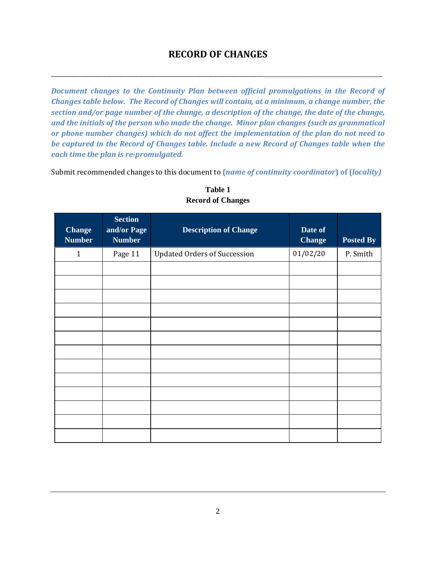## **RECORD OF CHANGES**

<span id="page-6-0"></span>\_\_\_\_\_\_\_\_\_\_\_\_\_\_\_\_\_\_\_\_\_\_\_\_\_\_\_\_\_\_\_\_\_\_\_\_\_\_\_\_\_\_\_\_\_\_\_\_\_\_\_\_\_\_\_\_\_\_\_\_\_\_\_\_\_\_\_\_\_\_\_\_\_ \_

*Document changes to the Continuity Plan between official promulgations in the Record of Changes table below. The Record of Changes will contain, at a minimum, a change number, the section and/or page number of the change, a description of the change, the date of the change, and the initials of the person who made the change. Minor plan changes (such as grammatical or phone number changes) which do not affect the implementation of the plan do not need to be captured in the Record of Changes table. Include a new Record of Changes table when the each time the plan is re-promulgated.* 

Submit recommended changes to this document to **(***name of continuity coordinator***) of (***locality)* 

| <b>Change</b><br><b>Number</b> | <b>Section</b><br>and/or Page<br><b>Number</b> | <b>Description of Change</b>        | Date of<br><b>Change</b> | Posted By |
|--------------------------------|------------------------------------------------|-------------------------------------|--------------------------|-----------|
| $\mathbf{1}$                   | Page 11                                        | <b>Updated Orders of Succession</b> | 01/02/20                 | P. Smith  |
|                                |                                                |                                     |                          |           |
|                                |                                                |                                     |                          |           |
|                                |                                                |                                     |                          |           |
|                                |                                                |                                     |                          |           |
|                                |                                                |                                     |                          |           |
|                                |                                                |                                     |                          |           |
|                                |                                                |                                     |                          |           |
|                                |                                                |                                     |                          |           |
|                                |                                                |                                     |                          |           |
|                                |                                                |                                     |                          |           |
|                                |                                                |                                     |                          |           |
|                                |                                                |                                     |                          |           |
|                                |                                                |                                     |                          |           |

**Table 1 Record of Changes**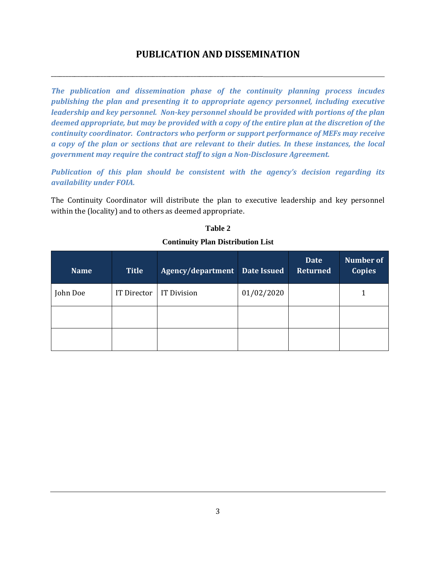# **PUBLICATION AND DISSEMINATION**

<span id="page-7-0"></span>\_\_\_\_\_\_\_\_\_\_\_\_\_\_\_\_\_\_\_\_\_\_\_\_\_\_\_\_\_\_\_\_\_\_\_\_\_\_\_\_\_\_\_\_\_\_\_\_\_\_\_\_\_\_\_\_\_\_\_\_\_\_\_\_\_\_\_\_\_\_\_\_\_

*The publication and dissemination phase of the continuity planning process incudes publishing the plan and presenting it to appropriate agency personnel, including executive leadership and key personnel. Non-key personnel should be provided with portions of the plan deemed appropriate, but may be provided with a copy of the entire plan at the discretion of the continuity coordinator. Contractors who perform or support performance of MEFs may receive a copy of the plan or sections that are relevant to their duties. In these instances, the local government may require the contract staff to sign a Non-Disclosure Agreement.* 

*Publication of this plan should be consistent with the agency's decision regarding its availability under FOIA.* 

The Continuity Coordinator will distribute the plan to executive leadership and key personnel within the (locality) and to others as deemed appropriate.

#### **Table 2**

| <b>Name</b>             | <b>Title</b> | Agency/department  | <b>Date Issued</b> | <b>Date</b><br><b>Returned</b> | <b>Number of</b><br><b>Copies</b> |
|-------------------------|--------------|--------------------|--------------------|--------------------------------|-----------------------------------|
| John Doe<br>IT Director |              | <b>IT Division</b> | 01/02/2020         |                                |                                   |
|                         |              |                    |                    |                                |                                   |
|                         |              |                    |                    |                                |                                   |

#### **Continuity Plan Distribution List**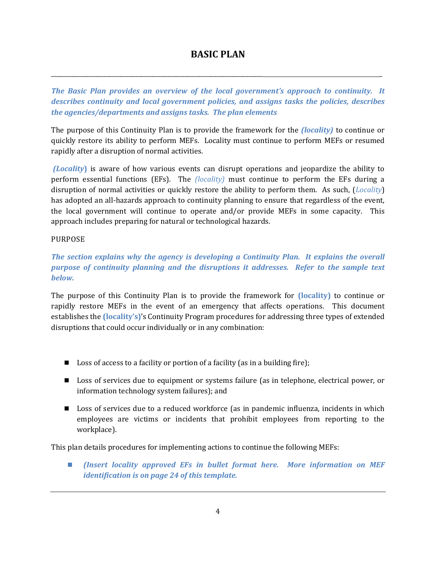# **BASIC PLAN**

<span id="page-8-0"></span>\_\_\_\_\_\_\_\_\_\_\_\_\_\_\_\_\_\_\_\_\_\_\_\_\_\_\_\_\_\_\_\_\_\_\_\_\_\_\_\_\_\_\_\_\_\_\_\_\_\_\_\_\_\_\_\_\_\_\_\_\_\_\_\_\_\_\_\_\_\_\_\_\_ \_

*The Basic Plan provides an overview of the local government's approach to continuity. It describes continuity and local government policies, and assigns tasks the policies, describes the agencies/departments and assigns tasks. The plan elements* 

The purpose of this Continuity Plan is to provide the framework for the *(locality)* to continue or quickly restore its ability to perform MEFs. Locality must continue to perform MEFs or resumed rapidly after a disruption of normal activities.

 *(Locality***)** is aware of how various events can disrupt operations and jeopardize the ability to perform essential functions (EFs). The *(locality)* must continue to perform the EFs during a disruption of normal activities or quickly restore the ability to perform them. As such, (*Locality*) has adopted an all-hazards approach to continuity planning to ensure that regardless of the event, the local government will continue to operate and/or provide MEFs in some capacity. This approach includes preparing for natural or technological hazards.

## <span id="page-8-1"></span>PURPOSE

## *The section explains why the agency is developing a Continuity Plan. It explains the overall purpose of continuity planning and the disruptions it addresses. Refer to the sample text below.*

The purpose of this Continuity Plan is to provide the framework for **(locality)** to continue or rapidly restore MEFs in the event of an emergency that affects operations. This document establishes the **(locality's)**'s Continuity Program procedures for addressing three types of extended disruptions that could occur individually or in any combination:

- **Loss of access to a facility or portion of a facility (as in a building fire);**
- Loss of services due to equipment or systems failure (as in telephone, electrical power, or information technology system failures); and
- **Loss of services due to a reduced workforce (as in pandemic influenza, incidents in which** employees are victims or incidents that prohibit employees from reporting to the workplace).

This plan details procedures for implementing actions to continue the following MEFs:

 *(Insert locality approved EFs in bullet format here. More information on MEF identification is on page 24 of this template.*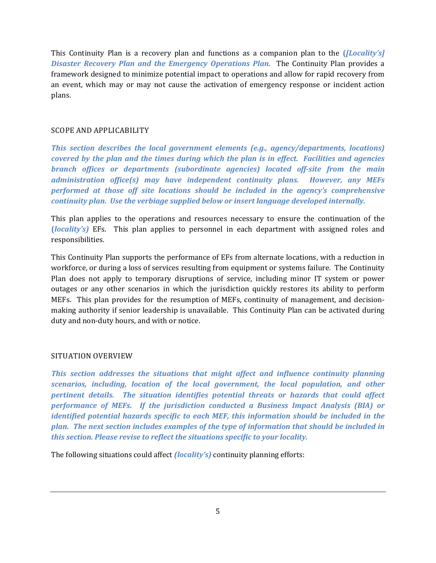This Continuity Plan is a recovery plan and functions as a companion plan to the **(***[Locality's] Disaster Recovery Plan and the Emergency Operations Plan.* The Continuity Plan provides a framework designed to minimize potential impact to operations and allow for rapid recovery from an event, which may or may not cause the activation of emergency response or incident action plans.

## <span id="page-9-0"></span>SCOPE AND APPLICABILITY

*This section describes the local government elements (e.g., agency/departments, locations) covered by the plan and the times during which the plan is in effect. Facilities and agencies branch offices or departments (subordinate agencies) located off-site from the main administration office(s) may have independent continuity plans. However, any MEFs performed at those off site locations should be included in the agency's comprehensive continuity plan. Use the verbiage supplied below or insert language developed internally.* 

This plan applies to the operations and resources necessary to ensure the continuation of the **(***locality's)* EFs. This plan applies to personnel in each department with assigned roles and responsibilities.

This Continuity Plan supports the performance of EFs from alternate locations, with a reduction in workforce, or during a loss of services resulting from equipment or systems failure. The Continuity Plan does not apply to temporary disruptions of service, including minor IT system or power outages or any other scenarios in which the jurisdiction quickly restores its ability to perform MEFs. This plan provides for the resumption of MEFs, continuity of management, and decisionmaking authority if senior leadership is unavailable. This Continuity Plan can be activated during duty and non-duty hours, and with or notice.

#### <span id="page-9-1"></span>SITUATION OVERVIEW

*This section addresses the situations that might affect and influence continuity planning scenarios, including, location of the local government, the local population, and other pertinent details. The situation identifies potential threats or hazards that could affect performance of MEFs. If the jurisdiction conducted a Business Impact Analysis (BIA) or identified potential hazards specific to each MEF, this information should be included in the plan. The next section includes examples of the type of information that should be included in this section. Please revise to reflect the situations specific to your locality.* 

The following situations could affect *(locality's)* continuity planning efforts: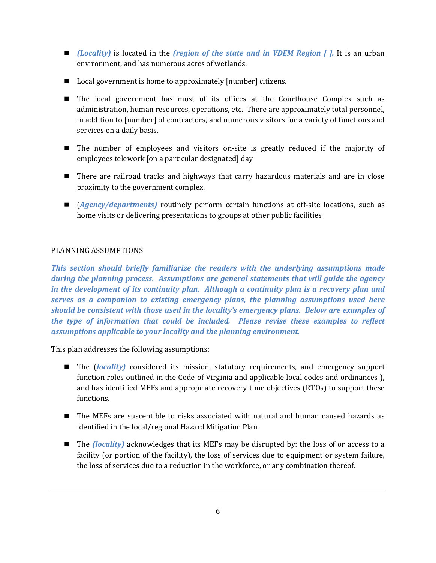- *(Locality)* is located in the *(region of the state and in VDEM Region [].* It is an urban environment, and has numerous acres of wetlands.
- Local government is home to approximately [number] citizens.
- The local government has most of its offices at the Courthouse Complex such as administration, human resources, operations, etc. There are approximately total personnel, in addition to [number] of contractors, and numerous visitors for a variety of functions and services on a daily basis.
- The number of employees and visitors on-site is greatly reduced if the majority of employees telework [on a particular designated] day
- **There are railroad tracks and highways that carry hazardous materials and are in close** proximity to the government complex.
- (*Agency/departments)* routinely perform certain functions at off-site locations, such as home visits or delivering presentations to groups at other public facilities

## <span id="page-10-0"></span>PLANNING ASSUMPTIONS

*This section should briefly familiarize the readers with the underlying assumptions made during the planning process. Assumptions are general statements that will guide the agency in the development of its continuity plan. Although a continuity plan is a recovery plan and serves as a companion to existing emergency plans, the planning assumptions used here should be consistent with those used in the locality's emergency plans. Below are examples of the type of information that could be included. Please revise these examples to reflect assumptions applicable to your locality and the planning environment.* 

This plan addresses the following assumptions:

- The (*locality)* considered its mission, statutory requirements, and emergency support function roles outlined in the Code of Virginia and applicable local codes and ordinances ), and has identified MEFs and appropriate recovery time objectives (RTOs) to support these functions.
- The MEFs are susceptible to risks associated with natural and human caused hazards as identified in the local/regional Hazard Mitigation Plan.
- The *(locality)* acknowledges that its MEFs may be disrupted by: the loss of or access to a facility (or portion of the facility), the loss of services due to equipment or system failure, the loss of services due to a reduction in the workforce, or any combination thereof.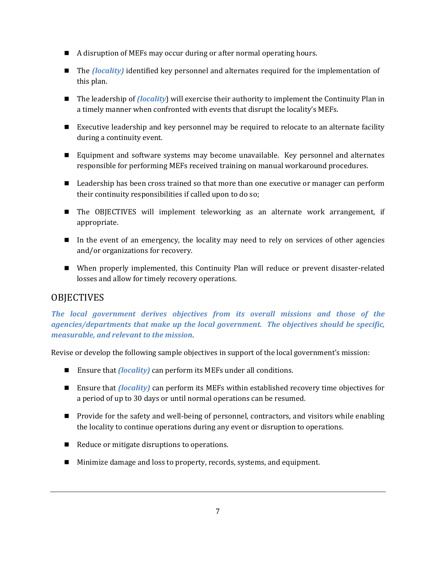- A disruption of MEFs may occur during or after normal operating hours.
- The *(locality)* identified key personnel and alternates required for the implementation of this plan.
- The leadership of *(locality*) will exercise their authority to implement the Continuity Plan in a timely manner when confronted with events that disrupt the locality's MEFs.
- Executive leadership and key personnel may be required to relocate to an alternate facility during a continuity event.
- Equipment and software systems may become unavailable. Key personnel and alternates responsible for performing MEFs received training on manual workaround procedures.
- **Leadership has been cross trained so that more than one executive or manager can perform** their continuity responsibilities if called upon to do so;
- The OBJECTIVES will implement teleworking as an alternate work arrangement, if appropriate.
- In the event of an emergency, the locality may need to rely on services of other agencies and/or organizations for recovery.
- When properly implemented, this Continuity Plan will reduce or prevent disaster-related losses and allow for timely recovery operations.

## <span id="page-11-0"></span>**OBJECTIVES**

*The local government derives objectives from its overall missions and those of the agencies/departments that make up the local government. The objectives should be specific, measurable, and relevant to the mission*.

Revise or develop the following sample objectives in support of the local government's mission:

- Ensure that *(locality)* can perform its MEFs under all conditions.
- Ensure that *(locality)* can perform its MEFs within established recovery time objectives for a period of up to 30 days or until normal operations can be resumed.
- **Provide for the safety and well-being of personnel, contractors, and visitors while enabling** the locality to continue operations during any event or disruption to operations.
- Reduce or mitigate disruptions to operations.
- Minimize damage and loss to property, records, systems, and equipment.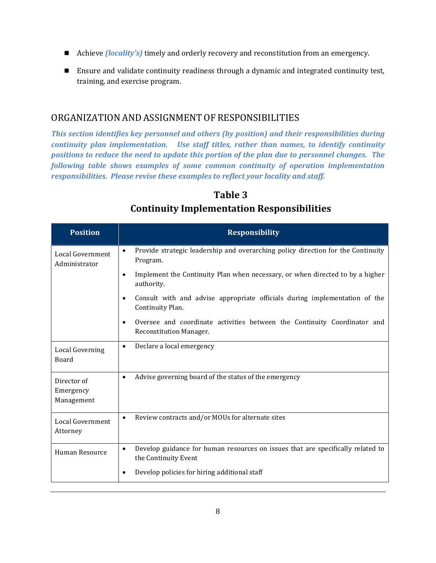- Achieve *(locality's)* timely and orderly recovery and reconstitution from an emergency.
- Ensure and validate continuity readiness through a dynamic and integrated continuity test, training, and exercise program.

## <span id="page-12-0"></span>ORGANIZATION AND ASSIGNMENT OF RESPONSIBILITIES

*This section identifies key personnel and others (by position) and their responsibilities during continuity plan implementation. Use staff titles, rather than names, to identify continuity positions to reduce the need to update this portion of the plan due to personnel changes. The following table shows examples of some common continuity of operation implementation responsibilities. Please revise these examples to reflect your locality and staff.* 

| <b>Position</b>                        | <b>Responsibility</b>                                                                                                   |  |  |  |
|----------------------------------------|-------------------------------------------------------------------------------------------------------------------------|--|--|--|
| Local Government<br>Administrator      | Provide strategic leadership and overarching policy direction for the Continuity<br>$\bullet$<br>Program.               |  |  |  |
|                                        | Implement the Continuity Plan when necessary, or when directed to by a higher<br>$\bullet$<br>authority.                |  |  |  |
|                                        | Consult with and advise appropriate officials during implementation of the<br>$\bullet$<br>Continuity Plan.             |  |  |  |
|                                        | Oversee and coordinate activities between the Continuity Coordinator and<br>$\bullet$<br><b>Reconstitution Manager.</b> |  |  |  |
| <b>Local Governing</b><br>Board        | Declare a local emergency<br>$\bullet$                                                                                  |  |  |  |
| Director of<br>Emergency<br>Management | Advise governing board of the status of the emergency<br>$\bullet$                                                      |  |  |  |
| Local Government<br>Attorney           | Review contracts and/or MOUs for alternate sites<br>$\bullet$                                                           |  |  |  |
| Human Resource                         | Develop guidance for human resources on issues that are specifically related to<br>$\bullet$<br>the Continuity Event    |  |  |  |
|                                        | Develop policies for hiring additional staff<br>$\bullet$                                                               |  |  |  |

# **Table 3 Continuity Implementation Responsibilities**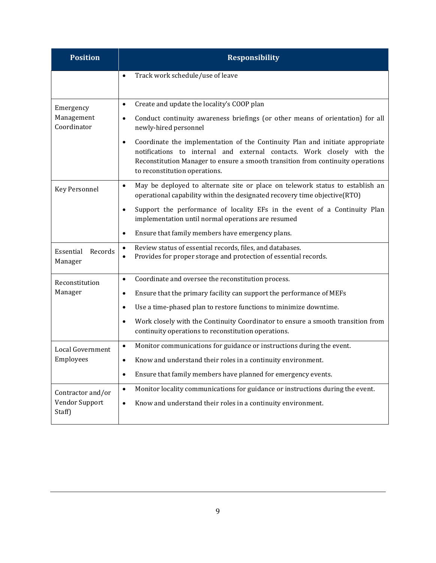<span id="page-13-0"></span>

| <b>Position</b>                 | <b>Responsibility</b>                                                                                                                                                                                                                                                                    |  |  |  |  |
|---------------------------------|------------------------------------------------------------------------------------------------------------------------------------------------------------------------------------------------------------------------------------------------------------------------------------------|--|--|--|--|
|                                 | Track work schedule/use of leave<br>$\bullet$                                                                                                                                                                                                                                            |  |  |  |  |
| Emergency                       | Create and update the locality's COOP plan<br>$\bullet$                                                                                                                                                                                                                                  |  |  |  |  |
| Management<br>Coordinator       | Conduct continuity awareness briefings (or other means of orientation) for all<br>$\bullet$<br>newly-hired personnel                                                                                                                                                                     |  |  |  |  |
|                                 | Coordinate the implementation of the Continuity Plan and initiate appropriate<br>$\bullet$<br>notifications to internal and external contacts. Work closely with the<br>Reconstitution Manager to ensure a smooth transition from continuity operations<br>to reconstitution operations. |  |  |  |  |
| <b>Key Personnel</b>            | May be deployed to alternate site or place on telework status to establish an<br>$\bullet$<br>operational capability within the designated recovery time objective(RTO)                                                                                                                  |  |  |  |  |
|                                 | Support the performance of locality EFs in the event of a Continuity Plan<br>٠<br>implementation until normal operations are resumed                                                                                                                                                     |  |  |  |  |
|                                 | Ensure that family members have emergency plans.<br>$\bullet$                                                                                                                                                                                                                            |  |  |  |  |
| Essential<br>Records<br>Manager | Review status of essential records, files, and databases.<br>$\bullet$<br>Provides for proper storage and protection of essential records.<br>$\bullet$                                                                                                                                  |  |  |  |  |
| Reconstitution                  | Coordinate and oversee the reconstitution process.<br>$\bullet$                                                                                                                                                                                                                          |  |  |  |  |
| Manager                         | Ensure that the primary facility can support the performance of MEFs<br>٠                                                                                                                                                                                                                |  |  |  |  |
|                                 | Use a time-phased plan to restore functions to minimize downtime.<br>$\bullet$                                                                                                                                                                                                           |  |  |  |  |
|                                 | Work closely with the Continuity Coordinator to ensure a smooth transition from<br>$\bullet$<br>continuity operations to reconstitution operations.                                                                                                                                      |  |  |  |  |
| Local Government                | Monitor communications for guidance or instructions during the event.<br>$\bullet$                                                                                                                                                                                                       |  |  |  |  |
| Employees                       | Know and understand their roles in a continuity environment.<br>$\bullet$                                                                                                                                                                                                                |  |  |  |  |
|                                 | Ensure that family members have planned for emergency events.<br>$\bullet$                                                                                                                                                                                                               |  |  |  |  |
| Contractor and/or               | Monitor locality communications for guidance or instructions during the event.<br>$\bullet$                                                                                                                                                                                              |  |  |  |  |
| Vendor Support<br>Staff)        | Know and understand their roles in a continuity environment.<br>$\bullet$                                                                                                                                                                                                                |  |  |  |  |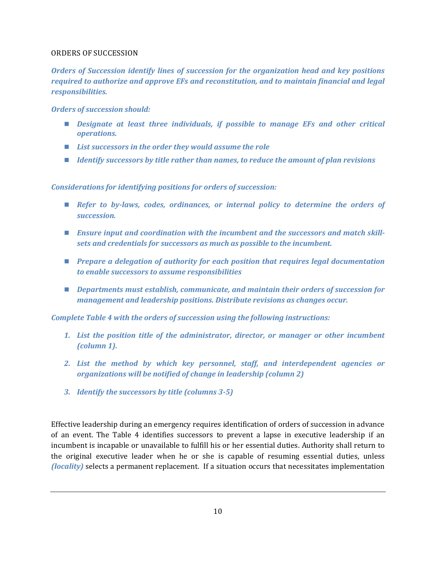#### ORDERS OF SUCCESSION

*Orders of Succession identify lines of succession for the organization head and key positions required to authorize and approve EFs and reconstitution, and to maintain financial and legal responsibilities.* 

*Orders of succession should:* 

- *Pesignate at least three individuals, if possible to manage EFs and other critical operations.*
- List successors in the order they would assume the role
- *Identify successors by title rather than names, to reduce the amount of plan revisions*

*Considerations for identifying positions for orders of succession:* 

- *Refer to by-laws, codes, ordinances, or internal policy to determine the orders of succession.*
- *Ensure input and coordination with the incumbent and the successors and match skillsets and credentials for successors as much as possible to the incumbent.*
- *Prepare a delegation of authority for each position that requires legal documentation to enable successors to assume responsibilities*
- *Departments must establish, communicate, and maintain their orders of succession for management and leadership positions. Distribute revisions as changes occur.*

*Complete Table 4 with the orders of succession using the following instructions:* 

- *1. List the position title of the administrator, director, or manager or other incumbent (column 1).*
- *2. List the method by which key personnel, staff, and interdependent agencies or organizations will be notified of change in leadership (column 2)*
- *3. Identify the successors by title (columns 3-5)*

Effective leadership during an emergency requires identification of orders of succession in advance of an event. The Table 4 identifies successors to prevent a lapse in executive leadership if an incumbent is incapable or unavailable to fulfill his or her essential duties. Authority shall return to the original executive leader when he or she is capable of resuming essential duties, unless *(locality)* selects a permanent replacement. If a situation occurs that necessitates implementation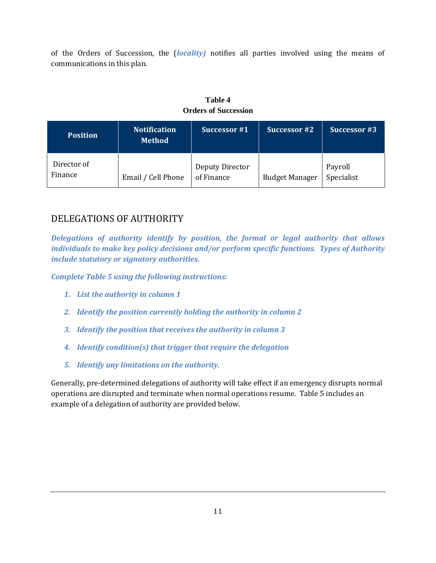of the Orders of Succession, the (*locality)* notifies all parties involved using the means of communications in this plan.

| <b>Table 4</b>              |  |
|-----------------------------|--|
| <b>Orders of Succession</b> |  |

| <b>Position</b>        | <b>Notification</b><br><b>Method</b> | Successor #1                  | Successor #2          | <b>Successor #3</b>   |
|------------------------|--------------------------------------|-------------------------------|-----------------------|-----------------------|
| Director of<br>Finance | Email / Cell Phone                   | Deputy Director<br>of Finance | <b>Budget Manager</b> | Payroll<br>Specialist |

## <span id="page-15-0"></span>DELEGATIONS OF AUTHORITY

*Delegations of authority identify by position, the formal or legal authority that allows individuals to make key policy decisions and/or perform specific functions. Types of Authority include statutory or signatory authorities.* 

*Complete Table 5 using the following instructions:* 

- *1. List the authority in column 1*
- *2. Identify the position currently holding the authority in column 2*
- *3. Identify the position that receives the authority in column 3*
- *4. Identify condition(s) that trigger that require the delegation*
- *5. Identify any limitations on the authority.*

Generally, pre-determined delegations of authority will take effect if an emergency disrupts normal operations are disrupted and terminate when normal operations resume. Table 5 includes an example of a delegation of authority are provided below.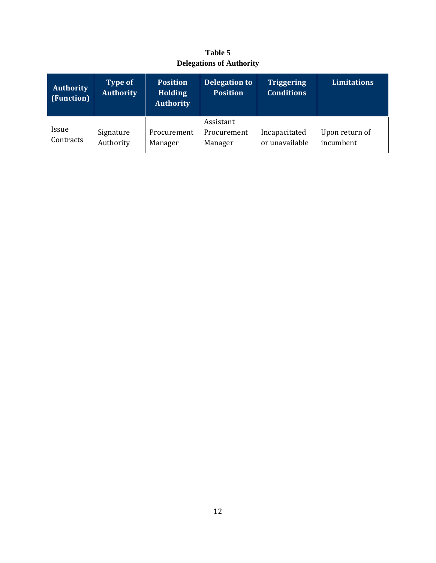| <b>Table 5</b>                  |  |  |  |  |
|---------------------------------|--|--|--|--|
| <b>Delegations of Authority</b> |  |  |  |  |

| <b>Authority</b><br>(Function) | <b>Type of</b><br><b>Authority</b> | <b>Position</b><br><b>Holding</b><br><b>Authority</b> | Delegation to<br><b>Position</b>    | <b>Triggering</b><br><b>Conditions</b> | <b>Limitations</b>          |
|--------------------------------|------------------------------------|-------------------------------------------------------|-------------------------------------|----------------------------------------|-----------------------------|
| Issue<br>Contracts             | Signature<br>Authority             | Procurement<br>Manager                                | Assistant<br>Procurement<br>Manager | Incapacitated<br>or unavailable        | Upon return of<br>incumbent |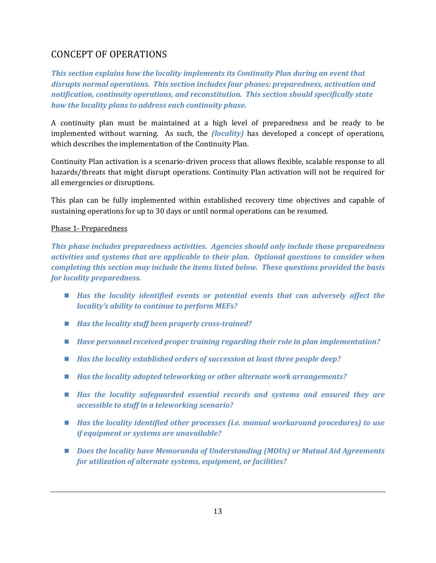# <span id="page-17-0"></span>CONCEPT OF OPERATIONS

*This section explains how the locality implements its Continuity Plan during an event that disrupts normal operations. This section includes four phases: preparedness, activation and notification, continuity operations, and reconstitution. This section should specifically state how the locality plans to address each continuity phase.* 

A continuity plan must be maintained at a high level of preparedness and be ready to be implemented without warning. As such, the *(locality)* has developed a concept of operations, which describes the implementation of the Continuity Plan.

Continuity Plan activation is a scenario-driven process that allows flexible, scalable response to all hazards/threats that might disrupt operations. Continuity Plan activation will not be required for all emergencies or disruptions.

This plan can be fully implemented within established recovery time objectives and capable of sustaining operations for up to 30 days or until normal operations can be resumed.

## <span id="page-17-1"></span>Phase 1- Preparedness

*This phase includes preparedness activities. Agencies should only include those preparedness activities and systems that are applicable to their plan. Optional questions to consider when completing this section may include the items listed below. These questions provided the basis for locality preparedness.* 

- *Has the locality identified events or potential events that can adversely affect the locality's ability to continue to perform MEFs?*
- Has the locality staff been properly cross-trained?
- *Have personnel received proper training regarding their role in plan implementation?*
- *Has the locality established orders of succession at least three people deep?*
- *Has the locality adopted teleworking or other alternate work arrangements?*
- *Has the locality safeguarded essential records and systems and ensured they are accessible to staff in a teleworking scenario?*
- *Has the locality identified other processes (i.e. manual workaround procedures) to use if equipment or systems are unavailable?*
- *Does the locality have Memoranda of Understanding (MOUs) or Mutual Aid Agreements for utilization of alternate systems, equipment, or facilities?*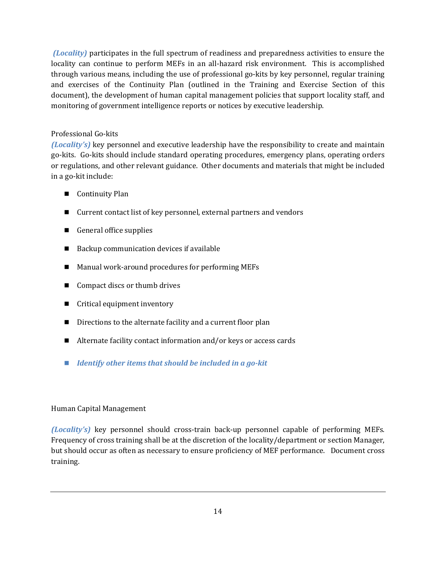*(Locality)* participates in the full spectrum of readiness and preparedness activities to ensure the locality can continue to perform MEFs in an all-hazard risk environment. This is accomplished through various means, including the use of professional go-kits by key personnel, regular training and exercises of the Continuity Plan (outlined in the Training and Exercise Section of this document), the development of human capital management policies that support locality staff, and monitoring of government intelligence reports or notices by executive leadership.

## Professional Go-kits

*(Locality's)* key personnel and executive leadership have the responsibility to create and maintain go-kits. Go-kits should include standard operating procedures, emergency plans, operating orders or regulations, and other relevant guidance. Other documents and materials that might be included in a go-kit include:

- Continuity Plan
- Current contact list of key personnel, external partners and vendors
- General office supplies
- Backup communication devices if available
- Manual work-around procedures for performing MEFs
- Compact discs or thumb drives
- Critical equipment inventory
- Directions to the alternate facility and a current floor plan
- Alternate facility contact information and/or keys or access cards
- *Identify other items that should be included in a go-kit*

## Human Capital Management

*(Locality's)* key personnel should cross-train back-up personnel capable of performing MEFs. Frequency of cross training shall be at the discretion of the locality/department or section Manager, but should occur as often as necessary to ensure proficiency of MEF performance. Document cross training.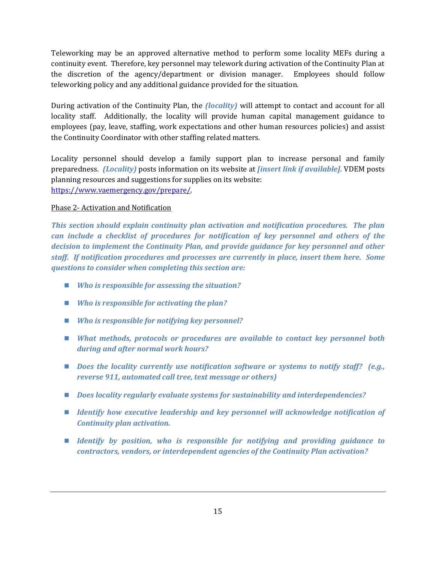Teleworking may be an approved alternative method to perform some locality MEFs during a continuity event. Therefore, key personnel may telework during activation of the Continuity Plan at the discretion of the agency/department or division manager. Employees should follow teleworking policy and any additional guidance provided for the situation.

During activation of the Continuity Plan, the *(locality)* will attempt to contact and account for all locality staff. Additionally, the locality will provide human capital management guidance to employees (pay, leave, staffing, work expectations and other human resources policies) and assist the Continuity Coordinator with other staffing related matters.

Locality personnel should develop a family support plan to increase personal and family preparedness. *(Locality)* posts information on its website at *[insert link if available].* VDEM posts planning resources and suggestions for supplies on its website: [https://www.vaemergency.gov/prepare/.](https://www.vaemergency.gov/prepare/)

## <span id="page-19-0"></span>Phase 2- Activation and Notification

*This section should explain continuity plan activation and notification procedures. The plan can include a checklist of procedures for notification of key personnel and others of the decision to implement the Continuity Plan, and provide guidance for key personnel and other staff. If notification procedures and processes are currently in place, insert them here. Some questions to consider when completing this section are:* 

- *Who is responsible for assessing the situation?*
- *Who is responsible for activating the plan?*
- *Who is responsible for notifying key personnel?*
- *What methods, protocols or procedures are available to contact key personnel both during and after normal work hours?*
- Does the locality currently use notification software or systems to notify staff? (e.g., *reverse 911, automated call tree, text message or others)*
- *Does locality regularly evaluate systems for sustainability and interdependencies?*
- **I** Identify how executive leadership and key personnel will acknowledge notification of *Continuity plan activation.*
- *Identify by position, who is responsible for notifying and providing guidance to contractors, vendors, or interdependent agencies of the Continuity Plan activation?*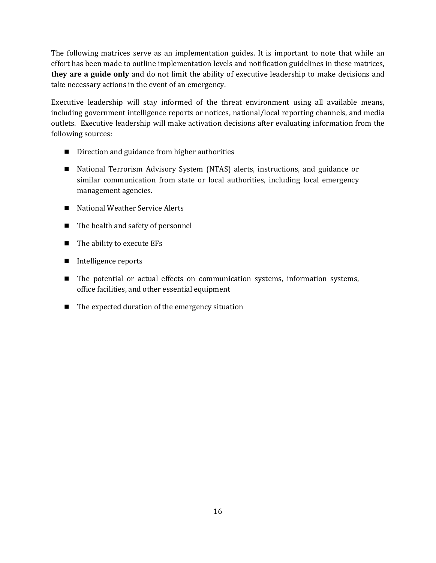The following matrices serve as an implementation guides. It is important to note that while an effort has been made to outline implementation levels and notification guidelines in these matrices, **they are a guide only** and do not limit the ability of executive leadership to make decisions and take necessary actions in the event of an emergency.

Executive leadership will stay informed of the threat environment using all available means, including government intelligence reports or notices, national/local reporting channels, and media outlets. Executive leadership will make activation decisions after evaluating information from the following sources:

- Direction and guidance from higher authorities
- National Terrorism Advisory System (NTAS) alerts, instructions, and guidance or similar communication from state or local authorities, including local emergency management agencies.
- National Weather Service Alerts
- The health and safety of personnel
- $\blacksquare$  The ability to execute EFs
- Intelligence reports
- The potential or actual effects on communication systems, information systems, office facilities, and other essential equipment
- $\blacksquare$  The expected duration of the emergency situation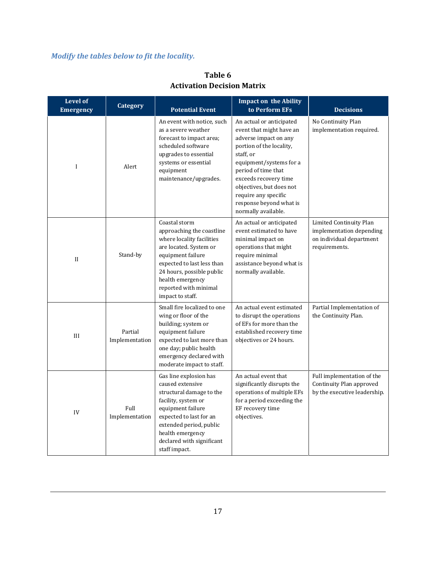# *Modify the tables below to fit the locality.*

| <b>Level of</b><br><b>Emergency</b> | <b>Category</b>                                                                                                                                                                                                                                                      | <b>Potential Event</b>                                                                                                                                                                     | <b>Impact on the Ability</b><br>to Perform EFs                                                                                                                                                                                                                                                          | <b>Decisions</b>                                                                                 |
|-------------------------------------|----------------------------------------------------------------------------------------------------------------------------------------------------------------------------------------------------------------------------------------------------------------------|--------------------------------------------------------------------------------------------------------------------------------------------------------------------------------------------|---------------------------------------------------------------------------------------------------------------------------------------------------------------------------------------------------------------------------------------------------------------------------------------------------------|--------------------------------------------------------------------------------------------------|
| I                                   | Alert                                                                                                                                                                                                                                                                | An event with notice, such<br>as a severe weather<br>forecast to impact area;<br>scheduled software<br>upgrades to essential<br>systems or essential<br>equipment<br>maintenance/upgrades. | An actual or anticipated<br>event that might have an<br>adverse impact on any<br>portion of the locality,<br>staff, or<br>equipment/systems for a<br>period of time that<br>exceeds recovery time<br>objectives, but does not<br>require any specific<br>response beyond what is<br>normally available. | No Continuity Plan<br>implementation required.                                                   |
| $\mathbf{I}$                        | Coastal storm<br>approaching the coastline<br>where locality facilities<br>are located. System or<br>Stand-by<br>equipment failure<br>expected to last less than<br>24 hours, possible public<br>health emergency<br>reported with minimal<br>impact to staff.       |                                                                                                                                                                                            | An actual or anticipated<br>event estimated to have<br>minimal impact on<br>operations that might<br>require minimal<br>assistance beyond what is<br>normally available.                                                                                                                                | Limited Continuity Plan<br>implementation depending<br>on individual department<br>requirements. |
| III                                 | Small fire localized to one<br>wing or floor of the<br>building; system or<br>Partial<br>equipment failure<br>Implementation<br>expected to last more than<br>one day; public health<br>emergency declared with<br>moderate impact to staff.                         |                                                                                                                                                                                            | An actual event estimated<br>to disrupt the operations<br>of EFs for more than the<br>established recovery time<br>objectives or 24 hours.                                                                                                                                                              | Partial Implementation of<br>the Continuity Plan.                                                |
| IV                                  | Gas line explosion has<br>caused extensive<br>structural damage to the<br>facility, system or<br>Full<br>equipment failure<br>Implementation<br>expected to last for an<br>extended period, public<br>health emergency<br>declared with significant<br>staff impact. |                                                                                                                                                                                            | An actual event that<br>significantly disrupts the<br>operations of multiple EFs<br>for a period exceeding the<br>EF recovery time<br>objectives.                                                                                                                                                       | Full implementation of the<br>Continuity Plan approved<br>by the executive leadership.           |

# **Table 6 Activation Decision Matrix**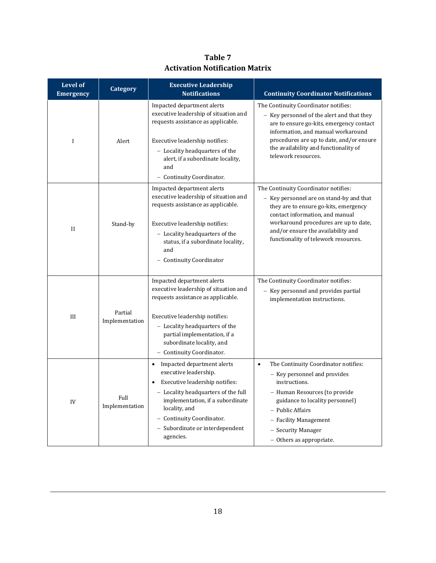| <b>Level of</b><br><b>Emergency</b> | <b>Category</b>           | <b>Executive Leadership</b><br><b>Notifications</b>                                                                                                                                                                                                                           | <b>Continuity Coordinator Notifications</b>                                                                                                                                                                                                                                         |
|-------------------------------------|---------------------------|-------------------------------------------------------------------------------------------------------------------------------------------------------------------------------------------------------------------------------------------------------------------------------|-------------------------------------------------------------------------------------------------------------------------------------------------------------------------------------------------------------------------------------------------------------------------------------|
| $\mathbf I$                         | Alert                     | Impacted department alerts<br>executive leadership of situation and<br>requests assistance as applicable.<br>Executive leadership notifies:<br>- Locality headquarters of the<br>alert, if a subordinate locality,<br>and<br>- Continuity Coordinator.                        | The Continuity Coordinator notifies:<br>- Key personnel of the alert and that they<br>are to ensure go-kits, emergency contact<br>information, and manual workaround<br>procedures are up to date, and/or ensure<br>the availability and functionality of<br>telework resources.    |
| $\mathbf{I}$                        | Stand-by                  | Impacted department alerts<br>executive leadership of situation and<br>requests assistance as applicable.<br>Executive leadership notifies:<br>- Locality headquarters of the<br>status, if a subordinate locality,<br>and<br>- Continuity Coordinator                        | The Continuity Coordinator notifies:<br>- Key personnel are on stand-by and that<br>they are to ensure go-kits, emergency<br>contact information, and manual<br>workaround procedures are up to date,<br>and/or ensure the availability and<br>functionality of telework resources. |
| III                                 | Partial<br>Implementation | Impacted department alerts<br>executive leadership of situation and<br>requests assistance as applicable.<br>Executive leadership notifies:<br>- Locality headquarters of the<br>partial implementation, if a<br>subordinate locality, and<br>- Continuity Coordinator.       | The Continuity Coordinator notifies:<br>- Key personnel and provides partial<br>implementation instructions.                                                                                                                                                                        |
| IV                                  | Full<br>Implementation    | Impacted department alerts<br>$\bullet$<br>executive leadership.<br>• Executive leadership notifies:<br>- Locality headquarters of the full<br>implementation, if a subordinate<br>locality, and<br>- Continuity Coordinator.<br>- Subordinate or interdependent<br>agencies. | $\bullet$<br>The Continuity Coordinator notifies:<br>- Key personnel and provides<br>instructions.<br>- Human Resources (to provide<br>guidance to locality personnel)<br>- Public Affairs<br>- Facility Management<br>- Security Manager<br>- Others as appropriate.               |

**Table 7 Activation Notification Matrix**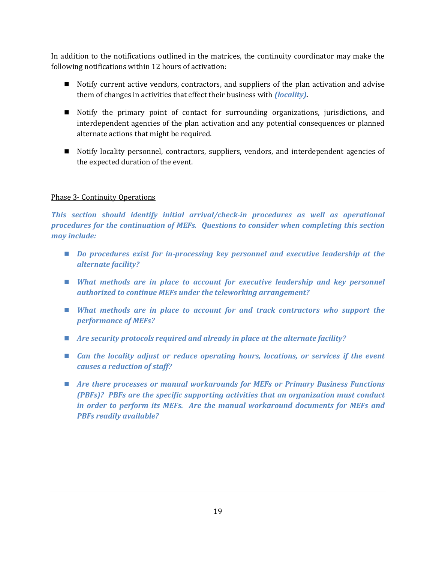In addition to the notifications outlined in the matrices, the continuity coordinator may make the following notifications within 12 hours of activation:

- Notify current active vendors, contractors, and suppliers of the plan activation and advise them of changes in activities that effect their business with *(locality).*
- Notify the primary point of contact for surrounding organizations, jurisdictions, and interdependent agencies of the plan activation and any potential consequences or planned alternate actions that might be required.
- Notify locality personnel, contractors, suppliers, vendors, and interdependent agencies of the expected duration of the event.

## <span id="page-23-0"></span>Phase 3- Continuity Operations

*This section should identify initial arrival/check-in procedures as well as operational procedures for the continuation of MEFs. Questions to consider when completing this section may include:* 

- *Do procedures exist for in-processing key personnel and executive leadership at the alternate facility?*
- $\blacksquare$  What methods are in place to account for executive leadership and key personnel *authorized to continue MEFs under the teleworking arrangement?*
- *What methods are in place to account for and track contractors who support the performance of MEFs?*
- *Are security protocols required and already in place at the alternate facility?*
- *Can the locality adjust or reduce operating hours, locations, or services if the event causes a reduction of staff?*
- *Are there processes or manual workarounds for MEFs or Primary Business Functions (PBFs)? PBFs are the specific supporting activities that an organization must conduct in order to perform its MEFs. Are the manual workaround documents for MEFs and PBFs readily available?*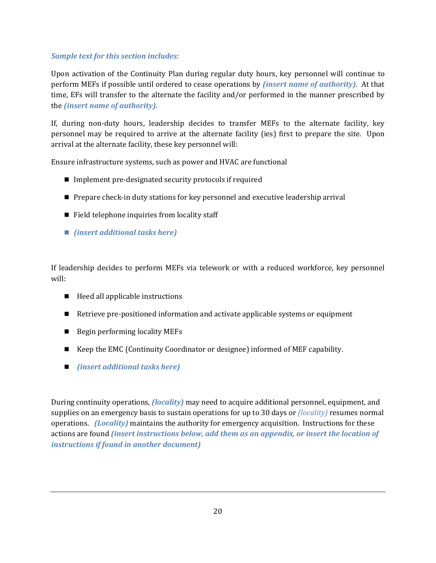## *Sample text for this section includes:*

Upon activation of the Continuity Plan during regular duty hours, key personnel will continue to perform MEFs if possible until ordered to cease operations by *(insert name of authority)*. At that time, EFs will transfer to the alternate the facility and/or performed in the manner prescribed by the *(insert name of authority)*.

If, during non-duty hours, leadership decides to transfer MEFs to the alternate facility, key personnel may be required to arrive at the alternate facility (ies) first to prepare the site. Upon arrival at the alternate facility, these key personnel will:

Ensure infrastructure systems, such as power and HVAC are functional

- $\blacksquare$  Implement pre-designated security protocols if required
- **Prepare check-in duty stations for key personnel and executive leadership arrival**
- $\blacksquare$  Field telephone inquiries from locality staff
- *(insert additional tasks here)*

If leadership decides to perform MEFs via telework or with a reduced workforce, key personnel will:

- $\blacksquare$  Heed all applicable instructions
- Retrieve pre-positioned information and activate applicable systems or equipment
- Begin performing locality MEFs
- Keep the EMC (Continuity Coordinator or designee) informed of MEF capability.
- *(insert additional tasks here)*

During continuity operations, *(locality)* may need to acquire additional personnel, equipment, and supplies on an emergency basis to sustain operations for up to 30 days or *(locality)* resumes normal operations. *(Locality)* maintains the authority for emergency acquisition. Instructions for these actions are found *(insert instructions below, add them as an appendix, or insert the location of instructions if found in another document)*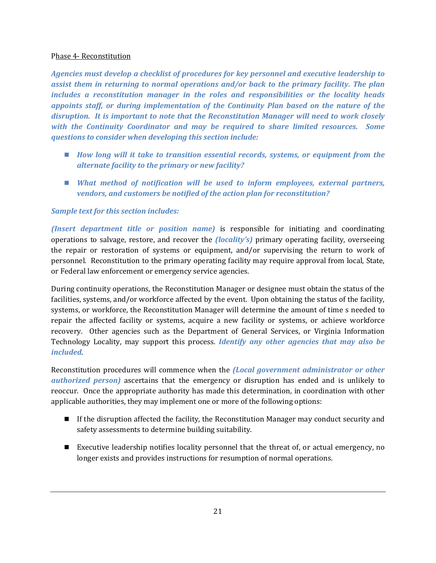#### Phase 4- Reconstitution

*Agencies must develop a checklist of procedures for key personnel and executive leadership to assist them in returning to normal operations and/or back to the primary facility. The plan includes a reconstitution manager in the roles and responsibilities or the locality heads appoints staff, or during implementation of the Continuity Plan based on the nature of the disruption. It is important to note that the Reconstitution Manager will need to work closely with the Continuity Coordinator and may be required to share limited resources. Some questions to consider when developing this section include:* 

- *How long will it take to transition essential records, systems, or equipment from the alternate facility to the primary or new facility?*
- *What method of notification will be used to inform employees, external partners, vendors, and customers be notified of the action plan for reconstitution?*

## *Sample text for this section includes:*

*(Insert department title or position name)* is responsible for initiating and coordinating operations to salvage, restore, and recover the *(locality's)* primary operating facility, overseeing the repair or restoration of systems or equipment, and/or supervising the return to work of personnel. Reconstitution to the primary operating facility may require approval from local, State, or Federal law enforcement or emergency service agencies.

During continuity operations, the Reconstitution Manager or designee must obtain the status of the facilities, systems, and/or workforce affected by the event. Upon obtaining the status of the facility, systems, or workforce, the Reconstitution Manager will determine the amount of time s needed to repair the affected facility or systems, acquire a new facility or systems, or achieve workforce recovery. Other agencies such as the Department of General Services, or Virginia Information Technology Locality, may support this process. *Identify any other agencies that may also be included*.

Reconstitution procedures will commence when the *(Local government administrator or other authorized person)* ascertains that the emergency or disruption has ended and is unlikely to reoccur. Once the appropriate authority has made this determination, in coordination with other applicable authorities, they may implement one or more of the following options:

- If the disruption affected the facility, the Reconstitution Manager may conduct security and safety assessments to determine building suitability.
- Executive leadership notifies locality personnel that the threat of, or actual emergency, no longer exists and provides instructions for resumption of normal operations.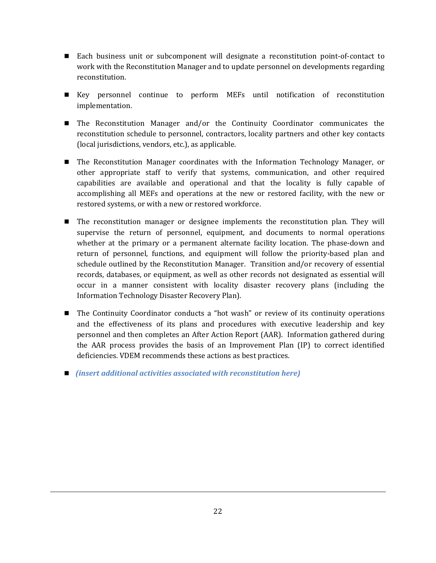- Each business unit or subcomponent will designate a reconstitution point-of-contact to work with the Reconstitution Manager and to update personnel on developments regarding reconstitution.
- Key personnel continue to perform MEFs until notification of reconstitution implementation.
- The Reconstitution Manager and/or the Continuity Coordinator communicates the reconstitution schedule to personnel, contractors, locality partners and other key contacts (local jurisdictions, vendors, etc.), as applicable.
- The Reconstitution Manager coordinates with the Information Technology Manager, or other appropriate staff to verify that systems, communication, and other required capabilities are available and operational and that the locality is fully capable of accomplishing all MEFs and operations at the new or restored facility, with the new or restored systems, or with a new or restored workforce.
- The reconstitution manager or designee implements the reconstitution plan. They will supervise the return of personnel, equipment, and documents to normal operations whether at the primary or a permanent alternate facility location. The phase-down and return of personnel, functions, and equipment will follow the priority-based plan and schedule outlined by the Reconstitution Manager. Transition and/or recovery of essential records, databases, or equipment, as well as other records not designated as essential will occur in a manner consistent with locality disaster recovery plans (including the Information Technology Disaster Recovery Plan).
- The Continuity Coordinator conducts a "hot wash" or review of its continuity operations and the effectiveness of its plans and procedures with executive leadership and key personnel and then completes an After Action Report (AAR). Information gathered during the AAR process provides the basis of an Improvement Plan (IP) to correct identified deficiencies. VDEM recommends these actions as best practices.
- *(insert additional activities associated with reconstitution here)*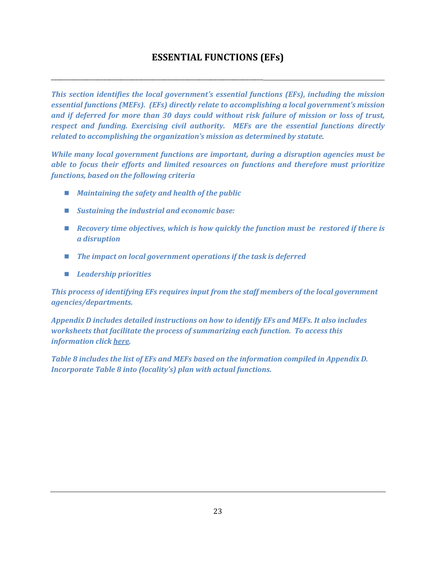# **ESSENTIAL FUNCTIONS (EFs)**

*This section identifies the local government's essential functions (EFs), including the mission essential functions (MEFs). (EFs) directly relate to accomplishing a local government's mission and if deferred for more than 30 days could without risk failure of mission or loss of trust, respect and funding. Exercising civil authority. MEFs are the essential functions directly related to accomplishing the organization's mission as determined by statute.* 

*While many local government functions are important, during a disruption agencies must be able to focus their efforts and limited resources on functions and therefore must prioritize functions, based on the following criteria* 

*Maintaining the safety and health of the public* 

<span id="page-27-0"></span>\_\_\_\_\_\_\_\_\_\_\_\_\_\_\_\_\_\_\_\_\_\_\_\_\_\_\_\_\_\_\_\_\_\_\_\_\_\_\_\_\_\_\_\_\_\_\_\_\_\_\_\_\_\_\_\_\_\_\_\_\_\_\_\_\_\_\_\_\_\_\_\_\_

- *Sustaining the industrial and economic base:*
- *Recovery time objectives, which is how quickly the function must be restored if there is a disruption*
- The impact on local government operations if the task is deferred
- *Leadership priorities*

*This process of identifying EFs requires input from the staff members of the local government agencies/departments.* 

*Appendix D includes detailed instructions on how to identify EFs and MEFs. It also includes worksheets that facilitate the process of summarizing each function. To access this information click [here.](#page-44-0)* 

*Table 8 includes the list of EFs and MEFs based on the information compiled in Appendix D. Incorporate Table 8 into (locality's) plan with actual functions.*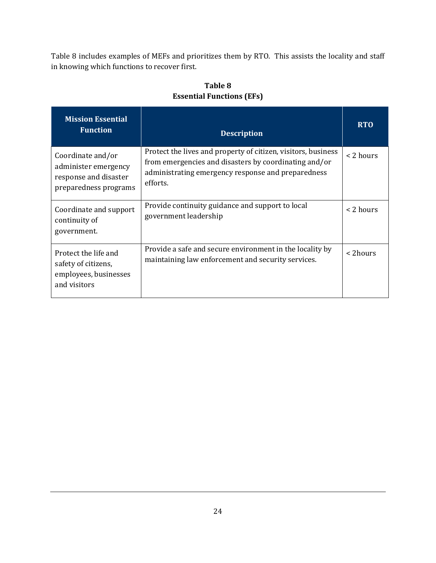Table 8 includes examples of MEFs and prioritizes them by RTO. This assists the locality and staff in knowing which functions to recover first.

| <b>Mission Essential</b><br><b>Function</b>                                                 | <b>Description</b>                                                                                                                                                                       | <b>RTO</b>  |
|---------------------------------------------------------------------------------------------|------------------------------------------------------------------------------------------------------------------------------------------------------------------------------------------|-------------|
| Coordinate and/or<br>administer emergency<br>response and disaster<br>preparedness programs | Protect the lives and property of citizen, visitors, business<br>from emergencies and disasters by coordinating and/or<br>administrating emergency response and preparedness<br>efforts. | $<$ 2 hours |
| Coordinate and support<br>continuity of<br>government.                                      | Provide continuity guidance and support to local<br>government leadership                                                                                                                | < 2 hours   |
| Protect the life and<br>safety of citizens,<br>employees, businesses<br>and visitors        | Provide a safe and secure environment in the locality by<br>maintaining law enforcement and security services.                                                                           | < 2hours    |

## **Table 8 Essential Functions (EFs)**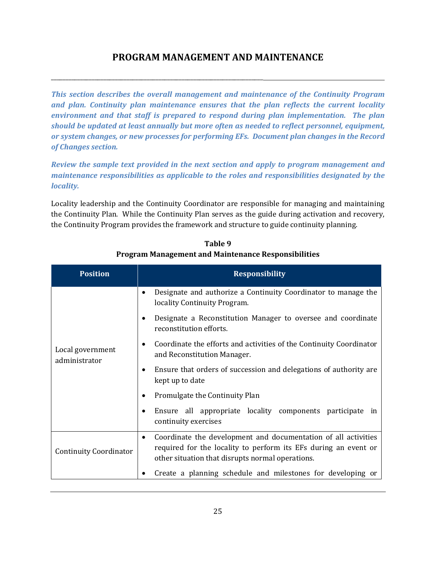## **PROGRAM MANAGEMENT AND MAINTENANCE**

<span id="page-29-0"></span>\_\_\_\_\_\_\_\_\_\_\_\_\_\_\_\_\_\_\_\_\_\_\_\_\_\_\_\_\_\_\_\_\_\_\_\_\_\_\_\_\_\_\_\_\_\_\_\_\_\_\_\_\_\_\_\_\_\_\_\_\_\_\_\_\_\_\_\_\_\_\_\_\_

*This section describes the overall management and maintenance of the Continuity Program and plan. Continuity plan maintenance ensures that the plan reflects the current locality environment and that staff is prepared to respond during plan implementation. The plan should be updated at least annually but more often as needed to reflect personnel, equipment, or system changes, or new processes for performing EFs. Document plan changes in the Record of Changes section.* 

*Review the sample text provided in the next section and apply to program management and maintenance responsibilities as applicable to the roles and responsibilities designated by the locality.* 

Locality leadership and the Continuity Coordinator are responsible for managing and maintaining the Continuity Plan. While the Continuity Plan serves as the guide during activation and recovery, the Continuity Program provides the framework and structure to guide continuity planning.

| <b>Position</b>                                                                                                                                                                                                             | <b>Responsibility</b>                                                                              |  |
|-----------------------------------------------------------------------------------------------------------------------------------------------------------------------------------------------------------------------------|----------------------------------------------------------------------------------------------------|--|
|                                                                                                                                                                                                                             | Designate and authorize a Continuity Coordinator to manage the<br>locality Continuity Program.     |  |
|                                                                                                                                                                                                                             | Designate a Reconstitution Manager to oversee and coordinate<br>reconstitution efforts.            |  |
| Local government<br>administrator                                                                                                                                                                                           | Coordinate the efforts and activities of the Continuity Coordinator<br>and Reconstitution Manager. |  |
|                                                                                                                                                                                                                             | Ensure that orders of succession and delegations of authority are<br>kept up to date               |  |
|                                                                                                                                                                                                                             | Promulgate the Continuity Plan                                                                     |  |
|                                                                                                                                                                                                                             | Ensure all appropriate locality components participate in<br>continuity exercises                  |  |
| Coordinate the development and documentation of all activities<br>٠<br>required for the locality to perform its EFs during an event or<br><b>Continuity Coordinator</b><br>other situation that disrupts normal operations. |                                                                                                    |  |
|                                                                                                                                                                                                                             | Create a planning schedule and milestones for developing or                                        |  |

**Table 9 Program Management and Maintenance Responsibilities**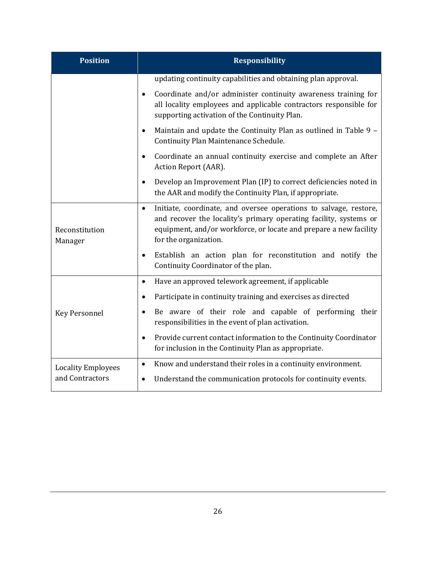| <b>Position</b>           | <b>Responsibility</b>                                                                                                                                                                                                                             |
|---------------------------|---------------------------------------------------------------------------------------------------------------------------------------------------------------------------------------------------------------------------------------------------|
|                           | updating continuity capabilities and obtaining plan approval.                                                                                                                                                                                     |
|                           | Coordinate and/or administer continuity awareness training for<br>all locality employees and applicable contractors responsible for<br>supporting activation of the Continuity Plan.                                                              |
|                           | Maintain and update the Continuity Plan as outlined in Table 9 -<br>Continuity Plan Maintenance Schedule.                                                                                                                                         |
|                           | Coordinate an annual continuity exercise and complete an After<br>Action Report (AAR).                                                                                                                                                            |
|                           | Develop an Improvement Plan (IP) to correct deficiencies noted in<br>the AAR and modify the Continuity Plan, if appropriate.                                                                                                                      |
| Reconstitution<br>Manager | Initiate, coordinate, and oversee operations to salvage, restore,<br>$\bullet$<br>and recover the locality's primary operating facility, systems or<br>equipment, and/or workforce, or locate and prepare a new facility<br>for the organization. |
|                           | Establish an action plan for reconstitution and notify the<br>$\bullet$<br>Continuity Coordinator of the plan.                                                                                                                                    |
|                           | Have an approved telework agreement, if applicable<br>$\bullet$                                                                                                                                                                                   |
|                           | Participate in continuity training and exercises as directed                                                                                                                                                                                      |
| <b>Key Personnel</b>      | Be aware of their role and capable of performing their<br>$\bullet$<br>responsibilities in the event of plan activation.                                                                                                                          |
|                           | Provide current contact information to the Continuity Coordinator<br>for inclusion in the Continuity Plan as appropriate.                                                                                                                         |
| <b>Locality Employees</b> | Know and understand their roles in a continuity environment.<br>$\bullet$                                                                                                                                                                         |
| and Contractors           | Understand the communication protocols for continuity events.                                                                                                                                                                                     |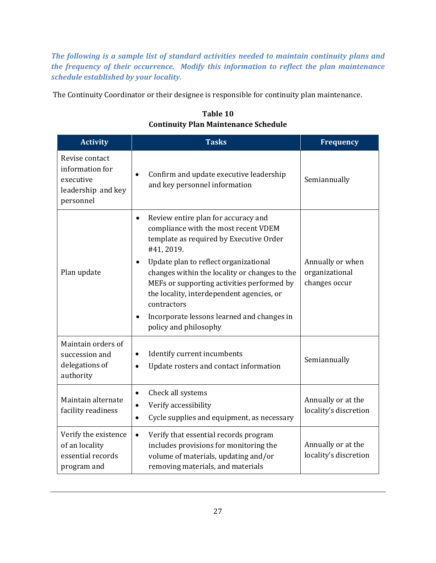*The following is a sample list of standard activities needed to maintain continuity plans and the frequency of their occurrence. Modify this information to reflect the plan maintenance schedule established by your locality.*

The Continuity Coordinator or their designee is responsible for continuity plan maintenance.

| <b>Activity</b>                                                                   | <b>Tasks</b>                                                                                                                                                                                                                                                                                                                                                                                                                                           | <b>Frequency</b>                                    |
|-----------------------------------------------------------------------------------|--------------------------------------------------------------------------------------------------------------------------------------------------------------------------------------------------------------------------------------------------------------------------------------------------------------------------------------------------------------------------------------------------------------------------------------------------------|-----------------------------------------------------|
| Revise contact<br>information for<br>executive<br>leadership and key<br>personnel | Confirm and update executive leadership<br>and key personnel information                                                                                                                                                                                                                                                                                                                                                                               | Semiannually                                        |
| Plan update                                                                       | Review entire plan for accuracy and<br>$\bullet$<br>compliance with the most recent VDEM<br>template as required by Executive Order<br>#41, 2019.<br>Update plan to reflect organizational<br>$\bullet$<br>changes within the locality or changes to the<br>MEFs or supporting activities performed by<br>the locality, interdependent agencies, or<br>contractors<br>Incorporate lessons learned and changes in<br>$\bullet$<br>policy and philosophy | Annually or when<br>organizational<br>changes occur |
| Maintain orders of<br>succession and<br>delegations of<br>authority               | Identify current incumbents<br>$\bullet$<br>Update rosters and contact information<br>$\bullet$                                                                                                                                                                                                                                                                                                                                                        | Semiannually                                        |
| Maintain alternate<br>facility readiness                                          | Check all systems<br>$\bullet$<br>Verify accessibility<br>$\bullet$<br>Cycle supplies and equipment, as necessary<br>$\bullet$                                                                                                                                                                                                                                                                                                                         | Annually or at the<br>locality's discretion         |
| Verify the existence<br>of an locality<br>essential records<br>program and        | Verify that essential records program<br>$\bullet$<br>includes provisions for monitoring the<br>volume of materials, updating and/or<br>removing materials, and materials                                                                                                                                                                                                                                                                              | Annually or at the<br>locality's discretion         |

**Table 10 Continuity Plan Maintenance Schedule**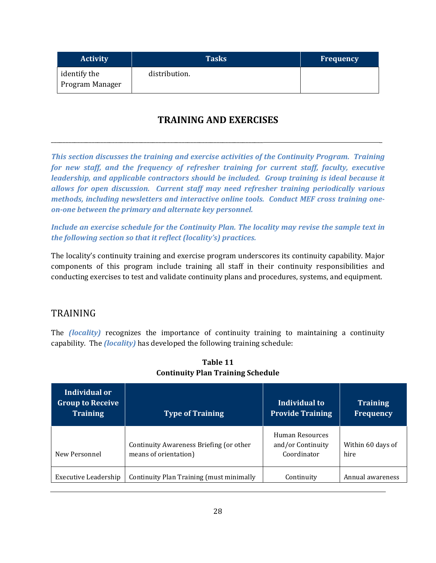| <b>Activity</b>                 | <b>Tasks</b>  | <b>Frequency</b> |
|---------------------------------|---------------|------------------|
| identify the<br>Program Manager | distribution. |                  |

# **TRAINING AND EXERCISES**

<span id="page-32-0"></span>\_\_\_\_\_\_\_\_\_\_\_\_\_\_\_\_\_\_\_\_\_\_\_\_\_\_\_\_\_\_\_\_\_\_\_\_\_\_\_\_\_\_\_\_\_\_\_\_\_\_\_\_\_\_\_\_\_\_\_\_\_\_\_\_\_\_\_\_\_\_\_\_\_ \_

*This section discusses the training and exercise activities of the Continuity Program. Training for new staff, and the frequency of refresher training for current staff, faculty, executive leadership, and applicable contractors should be included. Group training is ideal because it allows for open discussion. Current staff may need refresher training periodically various methods, including newsletters and interactive online tools. Conduct MEF cross training oneon-one between the primary and alternate key personnel.* 

*Include an exercise schedule for the Continuity Plan. The locality may revise the sample text in the following section so that it reflect (locality's) practices.* 

The locality's continuity training and exercise program underscores its continuity capability. Major components of this program include training all staff in their continuity responsibilities and conducting exercises to test and validate continuity plans and procedures, systems, and equipment.

## <span id="page-32-1"></span>TRAINING

The *(locality)* recognizes the importance of continuity training to maintaining a continuity capability. The *(locality)* has developed the following training schedule:

| Individual or<br><b>Group to Receive</b><br><b>Training</b> | <b>Type of Training</b>                                          | Individual to<br><b>Provide Training</b>            | <b>Training</b><br><b>Frequency</b> |
|-------------------------------------------------------------|------------------------------------------------------------------|-----------------------------------------------------|-------------------------------------|
| New Personnel                                               | Continuity Awareness Briefing (or other<br>means of orientation) | Human Resources<br>and/or Continuity<br>Coordinator | Within 60 days of<br>hire           |
| Executive Leadership                                        | Continuity Plan Training (must minimally                         | Continuity                                          | Annual awareness                    |

**Table 11 Continuity Plan Training Schedule**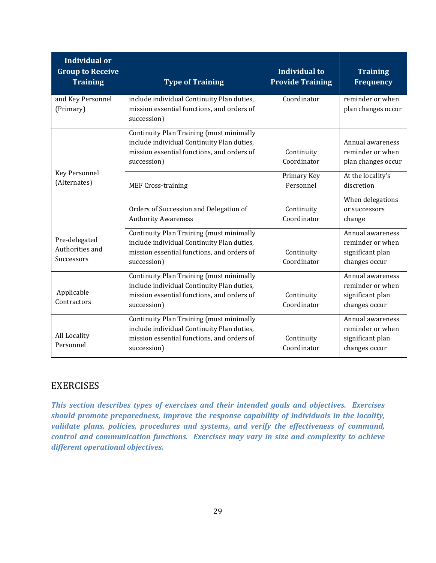| <b>Individual or</b><br><b>Group to Receive</b><br><b>Training</b> | <b>Type of Training</b>                                                                                                                             | Individual to<br><b>Provide Training</b> | <b>Training</b><br><b>Frequency</b>                                       |
|--------------------------------------------------------------------|-----------------------------------------------------------------------------------------------------------------------------------------------------|------------------------------------------|---------------------------------------------------------------------------|
| and Key Personnel<br>(Primary)                                     | include individual Continuity Plan duties,<br>mission essential functions, and orders of<br>succession)                                             | Coordinator                              | reminder or when<br>plan changes occur                                    |
|                                                                    | Continuity Plan Training (must minimally<br>include individual Continuity Plan duties,<br>mission essential functions, and orders of<br>succession) | Continuity<br>Coordinator                | Annual awareness<br>reminder or when<br>plan changes occur                |
| <b>Key Personnel</b><br>(Alternates)                               | <b>MEF Cross-training</b>                                                                                                                           | Primary Key<br>Personnel                 | At the locality's<br>discretion                                           |
|                                                                    | Orders of Succession and Delegation of<br><b>Authority Awareness</b>                                                                                | Continuity<br>Coordinator                | When delegations<br>or successors<br>change                               |
| Pre-delegated<br>Authorities and<br>Successors                     | Continuity Plan Training (must minimally<br>include individual Continuity Plan duties,<br>mission essential functions, and orders of<br>succession) | Continuity<br>Coordinator                | Annual awareness<br>reminder or when<br>significant plan<br>changes occur |
| Applicable<br>Contractors                                          | Continuity Plan Training (must minimally<br>include individual Continuity Plan duties,<br>mission essential functions, and orders of<br>succession) | Continuity<br>Coordinator                | Annual awareness<br>reminder or when<br>significant plan<br>changes occur |
| All Locality<br>Personnel                                          | Continuity Plan Training (must minimally<br>include individual Continuity Plan duties,<br>mission essential functions, and orders of<br>succession) | Continuity<br>Coordinator                | Annual awareness<br>reminder or when<br>significant plan<br>changes occur |

## <span id="page-33-0"></span>EXERCISES

*This section describes types of exercises and their intended goals and objectives. Exercises should promote preparedness, improve the response capability of individuals in the locality, validate plans, policies, procedures and systems, and verify the effectiveness of command, control and communication functions. Exercises may vary in size and complexity to achieve different operational objectives.*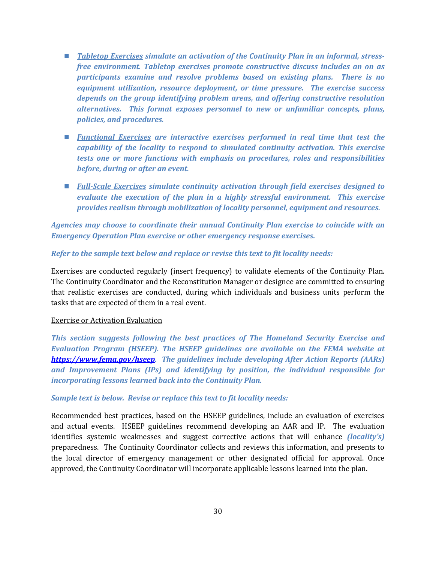- *Tabletop Exercises simulate an activation of the Continuity Plan in an informal, stressfree environment. Tabletop exercises promote constructive discuss includes an on as participants examine and resolve problems based on existing plans. There is no equipment utilization, resource deployment, or time pressure. The exercise success depends on the group identifying problem areas, and offering constructive resolution alternatives. This format exposes personnel to new or unfamiliar concepts, plans, policies, and procedures.*
- *Functional Exercises are interactive exercises performed in real time that test the capability of the locality to respond to simulated continuity activation. This exercise tests one or more functions with emphasis on procedures, roles and responsibilities before, during or after an event.*
- *Full-Scale Exercises simulate continuity activation through field exercises designed to evaluate the execution of the plan in a highly stressful environment. This exercise provides realism through mobilization of locality personnel, equipment and resources.*

*Agencies may choose to coordinate their annual Continuity Plan exercise to coincide with an Emergency Operation Plan exercise or other emergency response exercises.* 

## *Refer to the sample text below and replace or revise this text to fit locality needs:*

Exercises are conducted regularly (insert frequency) to validate elements of the Continuity Plan. The Continuity Coordinator and the Reconstitution Manager or designee are committed to ensuring that realistic exercises are conducted, during which individuals and business units perform the tasks that are expected of them in a real event.

#### Exercise or Activation Evaluation

*This section suggests following the best practices of The Homeland Security Exercise and Evaluation Program (HSEEP). The HSEEP guidelines are available on the FEMA website at [https://www.fema.gov/hseep.](https://www.fema.gov/hseep) The guidelines include developing After Action Reports (AARs) and Improvement Plans (IPs) and identifying by position, the individual responsible for incorporating lessons learned back into the Continuity Plan.* 

#### *Sample text is below. Revise or replace this text to fit locality needs:*

Recommended best practices, based on the HSEEP guidelines, include an evaluation of exercises and actual events. HSEEP guidelines recommend developing an AAR and IP. The evaluation identifies systemic weaknesses and suggest corrective actions that will enhance *(locality's)* preparedness. The Continuity Coordinator collects and reviews this information, and presents to the local director of emergency management or other designated official for approval. Once approved, the Continuity Coordinator will incorporate applicable lessons learned into the plan.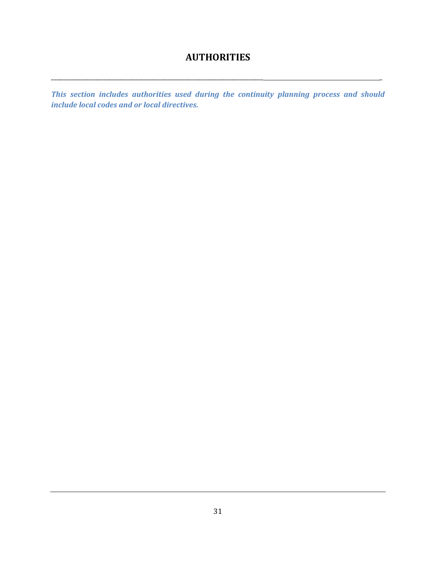# **AUTHORITIES**

<span id="page-35-0"></span>\_\_\_\_\_\_\_\_\_\_\_\_\_\_\_\_\_\_\_\_\_\_\_\_\_\_\_\_\_\_\_\_\_\_\_\_\_\_\_\_\_\_\_\_\_\_\_\_\_\_\_\_\_\_\_\_\_\_\_\_\_\_\_\_\_\_\_\_\_\_\_\_\_ \_

*This section includes authorities used during the continuity planning process and should include local codes and or local directives.*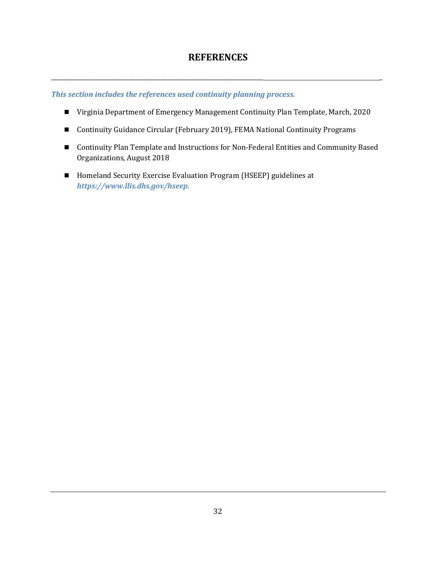## **REFERENCES**

<span id="page-36-0"></span>\_\_\_\_\_\_\_\_\_\_\_\_\_\_\_\_\_\_\_\_\_\_\_\_\_\_\_\_\_\_\_\_\_\_\_\_\_\_\_\_\_\_\_\_\_\_\_\_\_\_\_\_\_\_\_\_\_\_\_\_\_\_\_\_\_\_\_\_\_\_\_\_\_ \_

*This section includes the references used continuity planning process.* 

- Virginia Department of Emergency Management Continuity Plan Template, March, 2020
- Continuity Guidance Circular (February 2019), FEMA National Continuity Programs
- Continuity Plan Template and Instructions for Non-Federal Entities and Community Based Organizations, August 2018
- Homeland Security Exercise Evaluation Program (HSEEP) guidelines at *https://www.llis.dhs.gov/hseep.*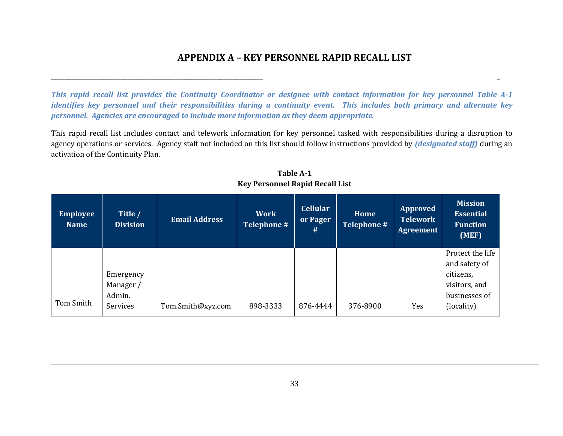## **APPENDIX A – KEY PERSONNEL RAPID RECALL LIST**

*This rapid recall list provides the Continuity Coordinator or designee with contact information for key personnel Table A-1 identifies key personnel and their responsibilities during a continuity event. This includes both primary and alternate key personnel. Agencies are encouraged to include more information as they deem appropriate.* 

\_\_\_\_\_\_\_\_\_\_\_\_\_\_\_\_\_\_\_\_\_\_\_\_\_\_\_\_\_\_\_\_\_\_\_\_\_\_\_\_\_\_\_\_\_\_\_\_\_\_\_\_\_\_\_\_\_\_\_\_\_\_\_\_\_\_\_\_\_\_\_\_\_ \_

This rapid recall list includes contact and telework information for key personnel tasked with responsibilities during a disruption to agency operations or services. Agency staff not included on this list should follow instructions provided by *(designated staff)* during an activation of the Continuity Plan.

<span id="page-37-0"></span>

| <b>Employee</b><br><b>Name</b> | Title /<br><b>Division</b>                   | <b>Email Address</b> | <b>Work</b><br>Telephone # | <b>Cellular</b><br>or Pager<br># | Home<br><b>Telephone #</b> | <b>Approved</b><br><b>Telework</b><br>Agreement | <b>Mission</b><br><b>Essential</b><br><b>Function</b><br>(MEF)                                 |
|--------------------------------|----------------------------------------------|----------------------|----------------------------|----------------------------------|----------------------------|-------------------------------------------------|------------------------------------------------------------------------------------------------|
| Tom Smith                      | Emergency<br>Manager /<br>Admin.<br>Services | Tom.Smith@xyz.com    | 898-3333                   | 876-4444                         | 376-8900                   | Yes                                             | Protect the life<br>and safety of<br>citizens,<br>visitors, and<br>businesses of<br>(locality) |

**Table A-1 Key Personnel Rapid Recall List**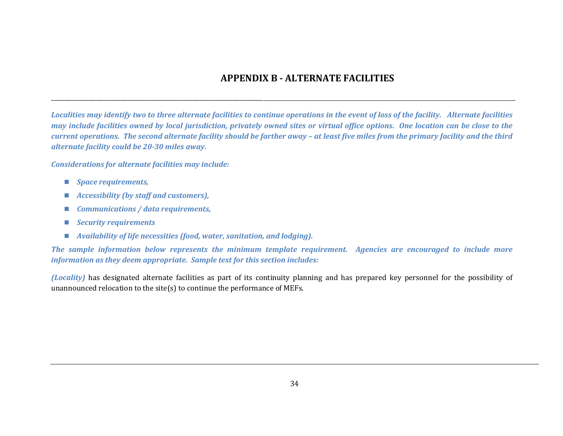# **APPENDIX B - ALTERNATE FACILITIES**

*Localities may identify two to three alternate facilities to continue operations in the event of loss of the facility. Alternate facilities may include facilities owned by local jurisdiction, privately owned sites or virtual office options. One location can be close to the current operations. The second alternate facility should be farther away – at least five miles from the primary facility and the third alternate facility could be 20-30 miles away.* 

\_\_\_\_\_\_\_\_\_\_\_\_\_\_\_\_\_\_\_\_\_\_\_\_\_\_\_\_\_\_\_\_\_\_\_\_\_\_\_\_\_\_\_\_\_\_\_\_\_\_\_\_\_\_\_\_\_\_\_\_\_\_\_\_\_\_\_\_\_\_\_\_\_ \_

*Considerations for alternate facilities may include:* 

- *Space requirements,*
- <span id="page-38-0"></span>*Accessibility (by staff and customers),*
- *Communications / data requirements,*
- *Security requirements*
- *Availability of life necessities (food, water, sanitation, and lodging).*

*The sample information below represents the minimum template requirement. Agencies are encouraged to include more information as they deem appropriate. Sample text for this section includes:* 

*(Locality)* has designated alternate facilities as part of its continuity planning and has prepared key personnel for the possibility of unannounced relocation to the site(s) to continue the performance of MEFs.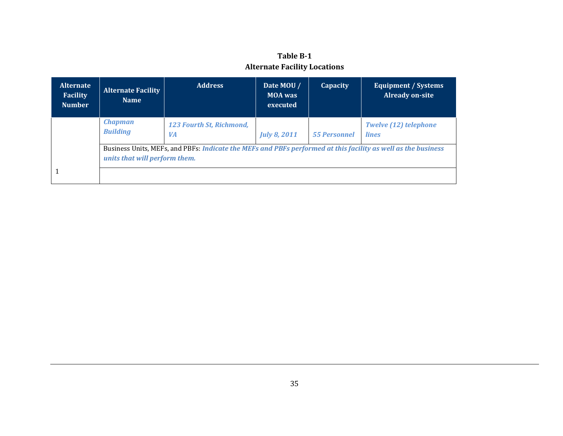## **Table B-1 Alternate Facility Locations**

| <b>Alternate</b><br><b>Facility</b><br><b>Number</b> | <b>Alternate Facility</b><br><b>Name</b>                                                                                                       | <b>Address</b>                        | Date MOU /<br><b>MOA</b> was<br>executed | <b>Capacity</b>     | <b>Equipment / Systems</b><br><b>Already on-site</b> |
|------------------------------------------------------|------------------------------------------------------------------------------------------------------------------------------------------------|---------------------------------------|------------------------------------------|---------------------|------------------------------------------------------|
|                                                      | <b>Chapman</b><br><b>Building</b>                                                                                                              | 123 Fourth St, Richmond,<br><b>VA</b> | <b>July 8, 2011</b>                      | <b>55 Personnel</b> | <b>Twelve (12) telephone</b><br><i>lines</i>         |
|                                                      | Business Units, MEFs, and PBFs: Indicate the MEFs and PBFs performed at this facility as well as the business<br>units that will perform them. |                                       |                                          |                     |                                                      |
|                                                      |                                                                                                                                                |                                       |                                          |                     |                                                      |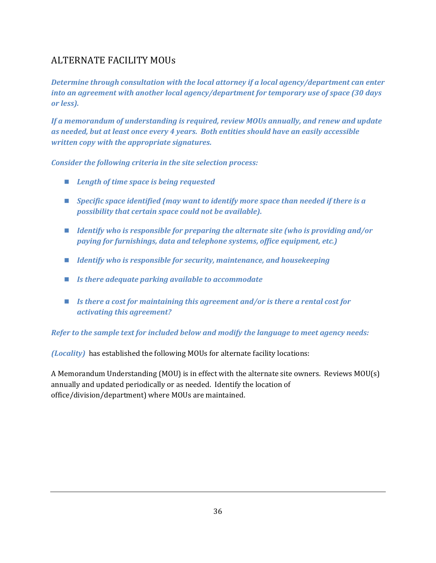# <span id="page-40-0"></span>ALTERNATE FACILITY MOUs

*Determine through consultation with the local attorney if a local agency/department can enter into an agreement with another local agency/department for temporary use of space (30 days or less).* 

*If a memorandum of understanding is required, review MOUs annually, and renew and update as needed, but at least once every 4 years. Both entities should have an easily accessible written copy with the appropriate signatures.* 

*Consider the following criteria in the site selection process:* 

- *Length of time space is being requested*
- *Specific space identified (may want to identify more space than needed if there is a possibility that certain space could not be available).*
- *Identify who is responsible for preparing the alternate site (who is providing and/or paying for furnishings, data and telephone systems, office equipment, etc.)*
- *Identify who is responsible for security, maintenance, and housekeeping*
- *Is there adequate parking available to accommodate*
- *Is there a cost for maintaining this agreement and/or is there a rental cost for activating this agreement?*

*Refer to the sample text for included below and modify the language to meet agency needs:* 

*(Locality)* has established the following MOUs for alternate facility locations:

A Memorandum Understanding (MOU) is in effect with the alternate site owners. Reviews MOU(s) annually and updated periodically or as needed. Identify the location of office/division/department) where MOUs are maintained.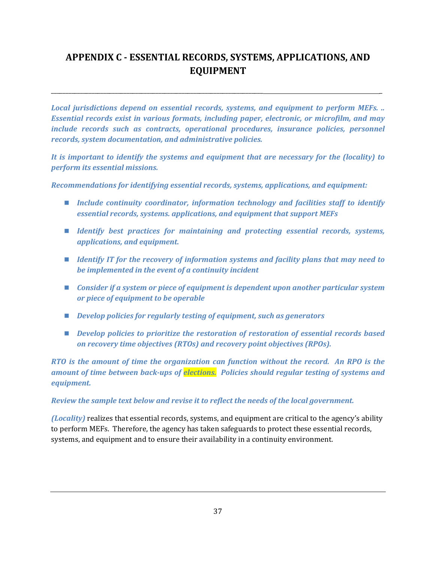# <span id="page-41-0"></span>**APPENDIX C - ESSENTIAL RECORDS, SYSTEMS, APPLICATIONS, AND EQUIPMENT**

\_\_\_\_\_\_\_\_\_\_\_\_\_\_\_\_\_\_\_\_\_\_\_\_\_\_\_\_\_\_\_\_\_\_\_\_\_\_\_\_\_\_\_\_\_\_\_\_\_\_\_\_\_\_\_\_\_\_\_\_\_\_\_\_\_\_\_\_\_\_\_\_\_ \_

*Local jurisdictions depend on essential records, systems, and equipment to perform MEFs. .. Essential records exist in various formats, including paper, electronic, or microfilm, and may include records such as contracts, operational procedures, insurance policies, personnel records, system documentation, and administrative policies.* 

*It is important to identify the systems and equipment that are necessary for the (locality) to perform its essential missions.* 

*Recommendations for identifying essential records, systems, applications, and equipment:* 

- *Include continuity coordinator, information technology and facilities staff to identify essential records, systems. applications, and equipment that support MEFs*
- *Identify best practices for maintaining and protecting essential records, systems, applications, and equipment.*
- *Identify IT for the recovery of information systems and facility plans that may need to be implemented in the event of a continuity incident*
- *Consider if a system or piece of equipment is dependent upon another particular system or piece of equipment to be operable*
- *Develop policies for regularly testing of equipment, such as generators*
- *Develop policies to prioritize the restoration of restoration of essential records based on recovery time objectives (RTOs) and recovery point objectives (RPOs).*

*RTO is the amount of time the organization can function without the record. An RPO is the amount of time between back-ups of elections. Policies should regular testing of systems and equipment.* 

#### *Review the sample text below and revise it to reflect the needs of the local government.*

*(Locality)* realizes that essential records, systems, and equipment are critical to the agency's ability to perform MEFs. Therefore, the agency has taken safeguards to protect these essential records, systems, and equipment and to ensure their availability in a continuity environment.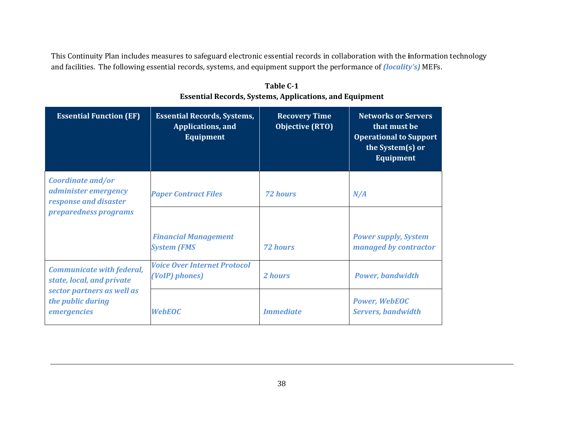This Continuity Plan includes measures to safeguard electronic essential records in collaboration with the **i**nformation technology and facilities. The following essential records, systems, and equipment support the performance of *(locality's)* MEFs.

| <b>Essential Function (EF)</b>                                     | <b>Essential Records, Systems,</b><br><b>Applications</b> , and<br><b>Equipment</b> | <b>Recovery Time</b><br><b>Objective (RTO)</b> | <b>Networks or Servers</b><br>that must be<br><b>Operational to Support</b><br>the System(s) or<br><b>Equipment</b> |
|--------------------------------------------------------------------|-------------------------------------------------------------------------------------|------------------------------------------------|---------------------------------------------------------------------------------------------------------------------|
| Coordinate and/or<br>administer emergency<br>response and disaster | <b>Paper Contract Files</b>                                                         | <b>72 hours</b>                                | N/A                                                                                                                 |
| preparedness programs                                              |                                                                                     |                                                |                                                                                                                     |
|                                                                    | <b>Financial Management</b><br><b>System (FMS</b>                                   | <b>72 hours</b>                                | <b>Power supply, System</b><br>managed by contractor                                                                |
| <b>Communicate with federal,</b><br>state, local, and private      | <b>Voice Over Internet Protocol</b><br>(VoIP) phones)                               | 2 hours                                        | <b>Power, bandwidth</b>                                                                                             |
| sector partners as well as<br>the public during<br>emergencies     | <b>WebEOC</b>                                                                       | <b>Immediate</b>                               | <b>Power, WebEOC</b><br><b>Servers, bandwidth</b>                                                                   |

**Table C-1 Essential Records, Systems, Applications, and Equipment**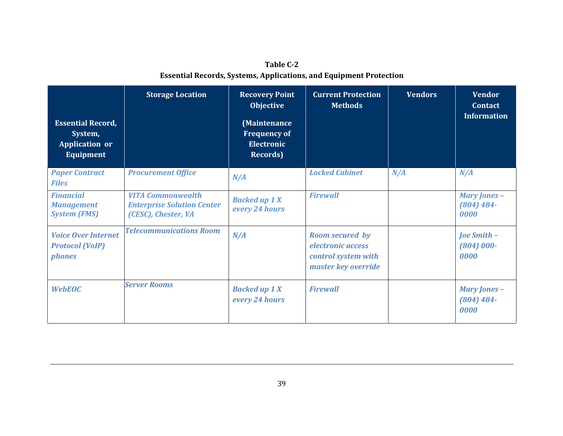| Table C-2                                                                 |
|---------------------------------------------------------------------------|
| <b>Essential Records, Systems, Applications, and Equipment Protection</b> |

| <b>Essential Record,</b><br>System,<br><b>Application</b> or<br><b>Equipment</b> | <b>Storage Location</b>                                                              | <b>Recovery Point</b><br>Objective<br>(Maintenance<br><b>Frequency of</b><br><b>Electronic</b><br><b>Records</b> ) | <b>Current Protection</b><br><b>Methods</b>                                               | <b>Vendors</b> | <b>Vendor</b><br><b>Contact</b><br><b>Information</b> |
|----------------------------------------------------------------------------------|--------------------------------------------------------------------------------------|--------------------------------------------------------------------------------------------------------------------|-------------------------------------------------------------------------------------------|----------------|-------------------------------------------------------|
| <b>Paper Contract</b><br><b>Files</b>                                            | <b>Procurement Office</b>                                                            | N/A                                                                                                                | <b>Locked Cabinet</b>                                                                     | N/A            | N/A                                                   |
| <b>Financial</b><br><b>Management</b><br><b>System (FMS)</b>                     | <b>VITA Commonwealth</b><br><b>Enterprise Solution Center</b><br>(CESC), Chester, VA | <b>Backed up 1 X</b><br>every 24 hours                                                                             | <b>Firewall</b>                                                                           |                | <b>Mary Jones -</b><br>$(804) 484 -$<br>0000          |
| <b>Voice Over Internet</b><br><b>Protocol (VoIP)</b><br><i>phones</i>            | <b>Telecommunications Room</b>                                                       | N/A                                                                                                                | <b>Room secured by</b><br>electronic access<br>control system with<br>master key override |                | Joe Smith -<br>$(804) 000 -$<br>0000                  |
| <b>WebEOC</b>                                                                    | <b>Server Rooms</b>                                                                  | <b>Backed up 1 X</b><br>every 24 hours                                                                             | <b>Firewall</b>                                                                           |                | <b>Mary Jones -</b><br>$(804) 484 -$<br>0000          |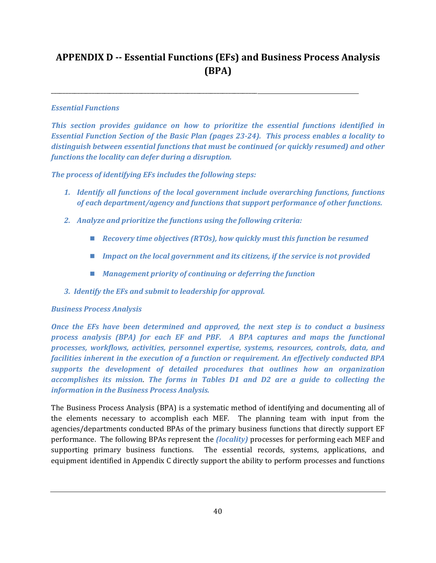# <span id="page-44-0"></span>**APPENDIX D -- Essential Functions (EFs) and Business Process Analysis (BPA)**

## *Essential Functions*

*This section provides guidance on how to prioritize the essential functions identified in Essential Function Section of the Basic Plan (pages 23-24). This process enables a locality to distinguish between essential functions that must be continued (or quickly resumed) and other functions the locality can defer during a disruption.* 

*The process of identifying EFs includes the following steps:* 

\_\_\_\_\_\_\_\_\_\_\_\_\_\_\_\_\_\_\_\_\_\_\_\_\_\_\_\_\_\_\_\_\_\_\_\_\_\_\_\_\_\_\_\_\_\_\_\_\_\_\_\_\_\_\_\_\_\_\_\_\_\_\_\_\_\_\_\_\_\_\_

- *1. Identify all functions of the local government include overarching functions, functions of each department/agency and functions that support performance of other functions.*
- *2. Analyze and prioritize the functions using the following criteria:* 
	- *Recovery time objectives (RTOs), how quickly must this function be resumed*
	- *Impact on the local government and its citizens, if the service is not provided*
	- *Management priority of continuing or deferring the function*
- *3. Identify the EFs and submit to leadership for approval.*

## *Business Process Analysis*

*Once the EFs have been determined and approved, the next step is to conduct a business process analysis (BPA) for each EF and PBF. A BPA captures and maps the functional processes, workflows, activities, personnel expertise, systems, resources, controls, data, and facilities inherent in the execution of a function or requirement. An effectively conducted BPA supports the development of detailed procedures that outlines how an organization accomplishes its mission*. *The forms in Tables D1 and D2 are a guide to collecting the information in the Business Process Analysis.* 

The Business Process Analysis (BPA) is a systematic method of identifying and documenting all of the elements necessary to accomplish each MEF. The planning team with input from the agencies/departments conducted BPAs of the primary business functions that directly support EF performance. The following BPAs represent the *(locality)* processes for performing each MEF and supporting primary business functions. The essential records, systems, applications, and equipment identified in Appendix C directly support the ability to perform processes and functions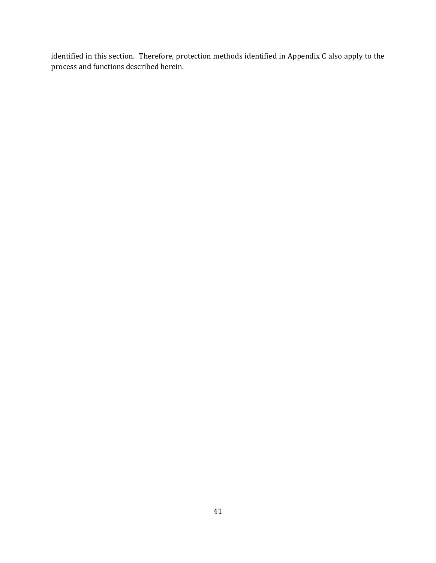identified in this section. Therefore, protection methods identified in Appendix C also apply to the process and functions described herein.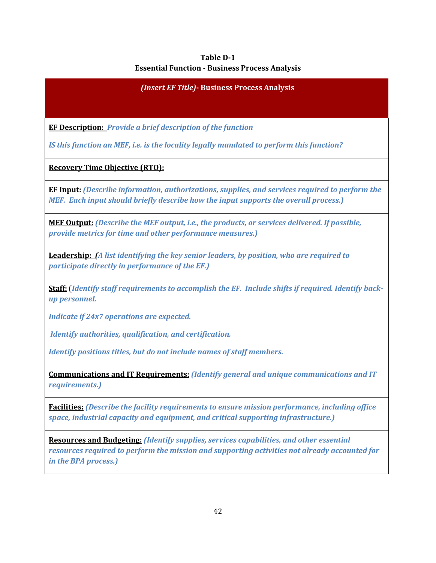## **Table D-1 Essential Function - Business Process Analysis**

 *(Insert EF Title)***- Business Process Analysis** 

**EF Description:** *Provide a brief description of the function* 

*IS this function an MEF, i.e. is the locality legally mandated to perform this function?*

**Recovery Time Objective (RTO):** 

**EF Input:** *(Describe information, authorizations, supplies, and services required to perform the MEF. Each input should briefly describe how the input supports the overall process.)*

**MEF Output:** *(Describe the MEF output, i.e., the products, or services delivered. If possible, provide metrics for time and other performance measures.)* 

**Leadership:** *(A list identifying the key senior leaders, by position, who are required to participate directly in performance of the EF.)*

**Staff:** (*Identify staff requirements to accomplish the EF. Include shifts if required. Identify backup personnel.* 

*Indicate if 24x7 operations are expected.* 

 *Identify authorities, qualification, and certification.* 

*Identify positions titles, but do not include names of staff members.*

**Communications and IT Requirements:** *(Identify general and unique communications and IT requirements.)*

**Facilities:** *(Describe the facility requirements to ensure mission performance, including office space, industrial capacity and equipment, and critical supporting infrastructure.)*

**Resources and Budgeting:** *(Identify supplies, services capabilities, and other essential resources required to perform the mission and supporting activities not already accounted for in the BPA process.)*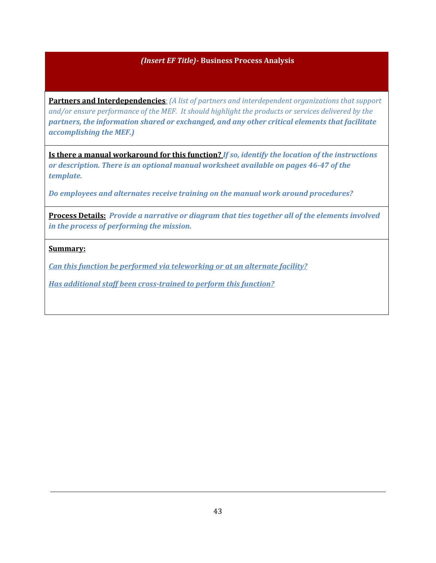## *(Insert EF Title)***- Business Process Analysis**

**Partners and Interdependencies***: (A list of partners and interdependent organizations that support and/or ensure performance of the MEF. It should highlight the products or services delivered by the partners, the information shared or exchanged, and any other critical elements that facilitate accomplishing the MEF.)*

**Is there a manual workaround for this function?** *If so, identify the location of the instructions or description. There is an optional manual worksheet available on pages 46-47 of the template.* 

*Do employees and alternates receive training on the manual work around procedures?* 

**Process Details:** *Provide a narrative or diagram that ties together all of the elements involved in the process of performing the mission.*

#### **Summary:**

*Can this function be performed via teleworking or at an alternate facility?* 

*Has additional staff been cross-trained to perform this function?*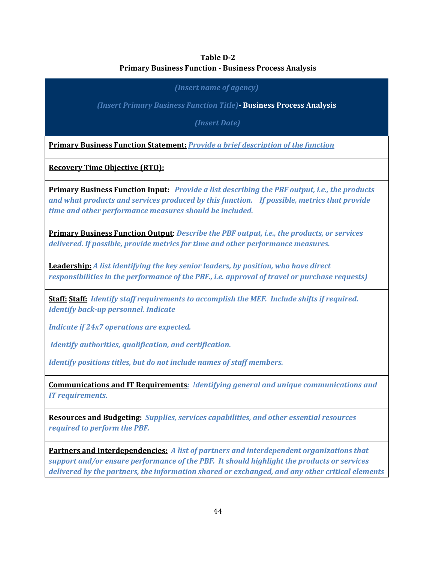## **Table D-2 Primary Business Function - Business Process Analysis**

*(Insert name of agency)* 

*(Insert Primary Business Function Title)***- Business Process Analysis** 

 *(Insert Date)* 

**Primary Business Function Statement:** *Provide a brief description of the function*

**Recovery Time Objective (RTO):**

**Primary Business Function Input:** *Provide a list describing the PBF output, i.e., the products and what products and services produced by this function. If possible, metrics that provide time and other performance measures should be included.*

**Primary Business Function Output**: *Describe the PBF output, i.e., the products, or services delivered. If possible, provide metrics for time and other performance measures.*

**Leadership:** *A list identifying the key senior leaders, by position, who have direct responsibilities in the performance of the PBF., i.e. approval of travel or purchase requests)*

**Staff: Staff:** *Identify staff requirements to accomplish the MEF. Include shifts if required. Identify back-up personnel. Indicate* 

*Indicate if 24x7 operations are expected.* 

 *Identify authorities, qualification, and certification.* 

*Identify positions titles, but do not include names of staff members.*

**Communications and IT Requirements***: Identifying general and unique communications and IT requirements.*

**Resources and Budgeting:** *Supplies, services capabilities, and other essential resources required to perform the PBF.*

**Partners and Interdependencies:** *A list of partners and interdependent organizations that support and/or ensure performance of the PBF. It should highlight the products or services delivered by the partners, the information shared or exchanged, and any other critical elements*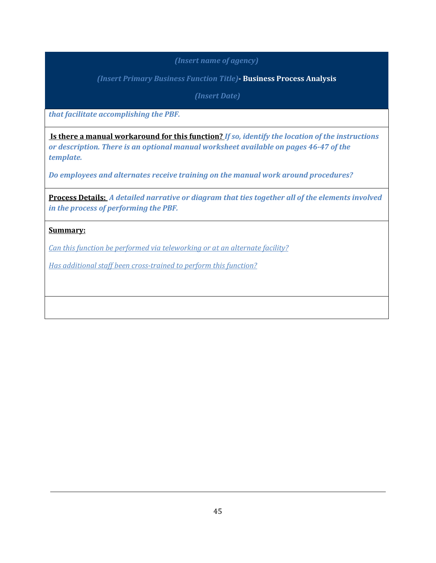## *(Insert name of agency)*

*(Insert Primary Business Function Title)***- Business Process Analysis** 

 *(Insert Date)* 

*that facilitate accomplishing the PBF.*

 **Is there a manual workaround for this function?** *If so, identify the location of the instructions or description. There is an optional manual worksheet available on pages 46-47 of the template.* 

*Do employees and alternates receive training on the manual work around procedures?*

**Process Details:** *A detailed narrative or diagram that ties together all of the elements involved in the process of performing the PBF.*

## **Summary:**

*Can this function be performed via teleworking or at an alternate facility?* 

*Has additional staff been cross-trained to perform this function?*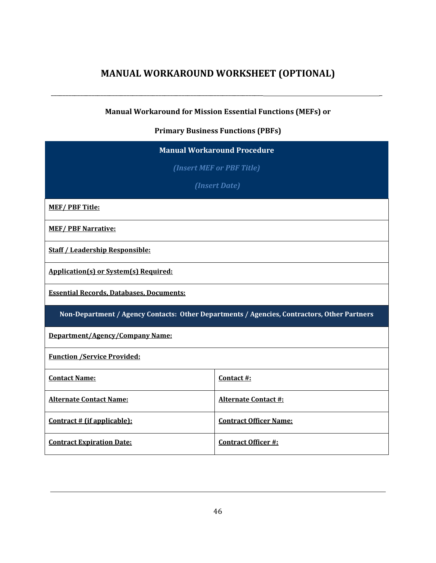# **MANUAL WORKAROUND WORKSHEET (OPTIONAL)**

<span id="page-50-0"></span>\_\_\_\_\_\_\_\_\_\_\_\_\_\_\_\_\_\_\_\_\_\_\_\_\_\_\_\_\_\_\_\_\_\_\_\_\_\_\_\_\_\_\_\_\_\_\_\_\_\_\_\_\_\_\_\_\_\_\_\_\_\_\_\_\_\_\_\_\_\_\_\_\_ \_

## **Manual Workaround for Mission Essential Functions (MEFs) or**

## **Primary Business Functions (PBFs)**

| <b>Manual Workaround Procedure</b>                             |                                                                                             |  |
|----------------------------------------------------------------|---------------------------------------------------------------------------------------------|--|
| (Insert MEF or PBF Title)                                      |                                                                                             |  |
|                                                                | (Insert Date)                                                                               |  |
| <b>MEF/PBF Title:</b>                                          |                                                                                             |  |
| <b>MEF/PBF Narrative:</b>                                      |                                                                                             |  |
| <b>Staff / Leadership Responsible:</b>                         |                                                                                             |  |
| <b>Application(s) or System(s) Required:</b>                   |                                                                                             |  |
| <b>Essential Records, Databases, Documents:</b>                |                                                                                             |  |
|                                                                | Non-Department / Agency Contacts: Other Departments / Agencies, Contractors, Other Partners |  |
| Department/Agency/Company Name:                                |                                                                                             |  |
| <b>Function /Service Provided:</b>                             |                                                                                             |  |
| <b>Contact Name:</b>                                           | Contact #:                                                                                  |  |
| <b>Alternate Contact Name:</b>                                 | <b>Alternate Contact #:</b>                                                                 |  |
| Contract # (if applicable):                                    | <b>Contract Officer Name:</b>                                                               |  |
| <b>Contract Officer #:</b><br><b>Contract Expiration Date:</b> |                                                                                             |  |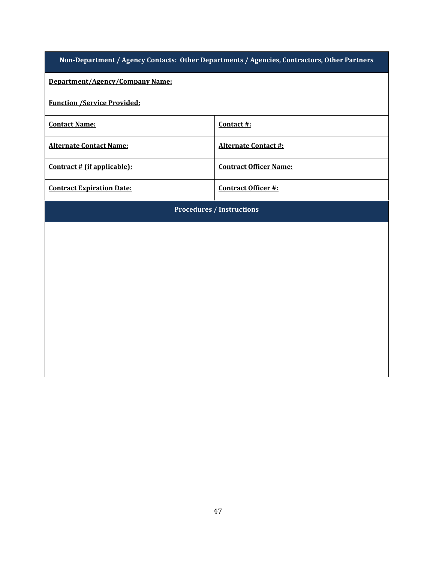|  |  |  | Non-Department / Agency Contacts:  Other Departments / Agencies, Contractors, Other Partners |
|--|--|--|----------------------------------------------------------------------------------------------|
|  |  |  |                                                                                              |

## **Department/Agency/Company Name:**

## **Function /Service Provided:**

| <b>Contact Name:</b>             | Contact #:                    |
|----------------------------------|-------------------------------|
| <b>Alternate Contact Name:</b>   | <b>Alternate Contact #:</b>   |
| Contract # (if applicable):      | <b>Contract Officer Name:</b> |
| <b>Contract Expiration Date:</b> | Contract Officer #:           |

**Procedures / Instructions**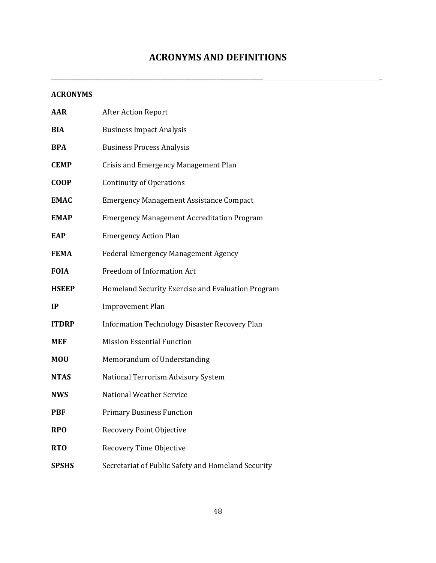# **ACRONYMS AND DEFINITIONS**

<span id="page-52-0"></span>\_\_\_\_\_\_\_\_\_\_\_\_\_\_\_\_\_\_\_\_\_\_\_\_\_\_\_\_\_\_\_\_\_\_\_\_\_\_\_\_\_\_\_\_\_\_\_\_\_\_\_\_\_\_\_\_\_\_\_\_\_\_\_\_\_\_\_\_\_\_\_\_\_ \_

#### **ACRONYMS**

| AAR          | <b>After Action Report</b>                           |
|--------------|------------------------------------------------------|
| BIA          | <b>Business Impact Analysis</b>                      |
| <b>BPA</b>   | <b>Business Process Analysis</b>                     |
| <b>CEMP</b>  | Crisis and Emergency Management Plan                 |
| <b>COOP</b>  | <b>Continuity of Operations</b>                      |
| EMAC         | <b>Emergency Management Assistance Compact</b>       |
| <b>EMAP</b>  | <b>Emergency Management Accreditation Program</b>    |
| EAP          | <b>Emergency Action Plan</b>                         |
| FEMA         | <b>Federal Emergency Management Agency</b>           |
| <b>FOIA</b>  | Freedom of Information Act                           |
| <b>HSEEP</b> | Homeland Security Exercise and Evaluation Program    |
| IP           | <b>Improvement Plan</b>                              |
| <b>ITDRP</b> | <b>Information Technology Disaster Recovery Plan</b> |
| MEF          | <b>Mission Essential Function</b>                    |
| <b>MOU</b>   | Memorandum of Understanding                          |
| <b>NTAS</b>  | National Terrorism Advisory System                   |
| <b>NWS</b>   | <b>National Weather Service</b>                      |
| PBF          | <b>Primary Business Function</b>                     |
| <b>RPO</b>   | Recovery Point Objective                             |
| RTO          | Recovery Time Objective                              |
| SPSHS        | Secretariat of Public Safety and Homeland Security   |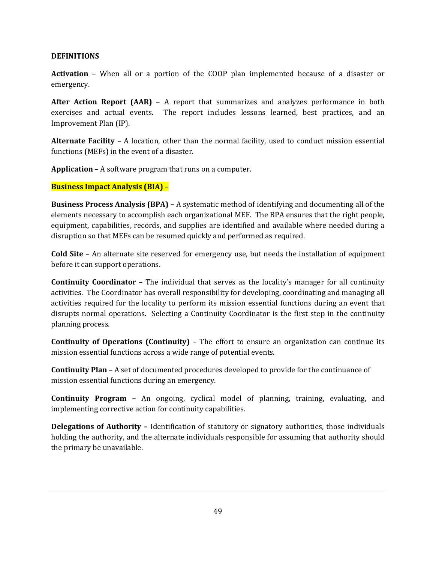#### **DEFINITIONS**

**Activation** – When all or a portion of the COOP plan implemented because of a disaster or emergency.

**After Action Report (AAR)** – A report that summarizes and analyzes performance in both exercises and actual events. The report includes lessons learned, best practices, and an Improvement Plan (IP).

**Alternate Facility** – A location, other than the normal facility, used to conduct mission essential functions (MEFs) in the event of a disaster.

**Application** – A software program that runs on a computer.

#### **Business Impact Analysis (BIA)** –

**Business Process Analysis (BPA) –** A systematic method of identifying and documenting all of the elements necessary to accomplish each organizational MEF. The BPA ensures that the right people, equipment, capabilities, records, and supplies are identified and available where needed during a disruption so that MEFs can be resumed quickly and performed as required.

**Cold Site** – An alternate site reserved for emergency use, but needs the installation of equipment before it can support operations.

**Continuity Coordinator** – The individual that serves as the locality's manager for all continuity activities. The Coordinator has overall responsibility for developing, coordinating and managing all activities required for the locality to perform its mission essential functions during an event that disrupts normal operations. Selecting a Continuity Coordinator is the first step in the continuity planning process.

**Continuity of Operations (Continuity)** – The effort to ensure an organization can continue its mission essential functions across a wide range of potential events.

**Continuity Plan** – A set of documented procedures developed to provide for the continuance of mission essential functions during an emergency.

**Continuity Program –** An ongoing, cyclical model of planning, training, evaluating, and implementing corrective action for continuity capabilities.

**Delegations of Authority –** Identification of statutory or signatory authorities, those individuals holding the authority, and the alternate individuals responsible for assuming that authority should the primary be unavailable.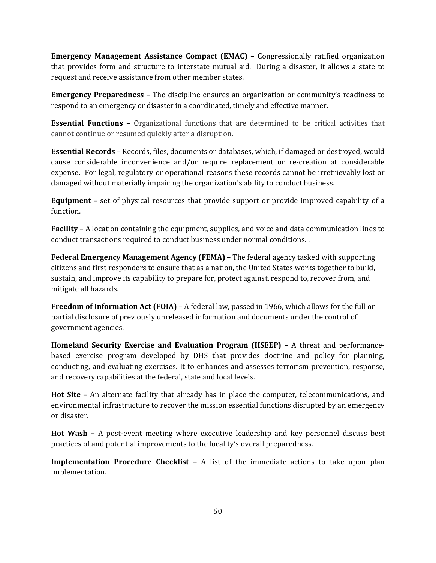**Emergency Management Assistance Compact (EMAC)** – Congressionally ratified organization that provides form and structure to interstate mutual aid. During a disaster, it allows a state to request and receive assistance from other member states.

**Emergency Preparedness** – The discipline ensures an organization or community's readiness to respond to an emergency or disaster in a coordinated, timely and effective manner.

**Essential Functions** – Organizational functions that are determined to be critical activities that cannot continue or resumed quickly after a disruption.

**Essential Records** – Records, files, documents or databases, which, if damaged or destroyed, would cause considerable inconvenience and/or require replacement or re-creation at considerable expense. For legal, regulatory or operational reasons these records cannot be irretrievably lost or damaged without materially impairing the organization's ability to conduct business.

**Equipment** – set of physical resources that provide support or provide improved capability of a function.

**Facility** – A location containing the equipment, supplies, and voice and data communication lines to conduct transactions required to conduct business under normal conditions. .

**Federal Emergency Management Agency (FEMA)** – The federal agency tasked with supporting citizens and first responders to ensure that as a nation, the United States works together to build, sustain, and improve its capability to prepare for, protect against, respond to, recover from, and mitigate all hazards.

**Freedom of Information Act (FOIA)** – A federal law, passed in 1966, which allows for the full or partial disclosure of previously unreleased information and documents under the control of government agencies.

**Homeland Security Exercise and Evaluation Program (HSEEP) –** A threat and performancebased exercise program developed by DHS that provides doctrine and policy for planning, conducting, and evaluating exercises. It to enhances and assesses terrorism prevention, response, and recovery capabilities at the federal, state and local levels.

**Hot Site** – An alternate facility that already has in place the computer, telecommunications, and environmental infrastructure to recover the mission essential functions disrupted by an emergency or disaster.

**Hot Wash –** A post-event meeting where executive leadership and key personnel discuss best practices of and potential improvements to the locality's overall preparedness.

**Implementation Procedure Checklist – A** list of the immediate actions to take upon plan implementation.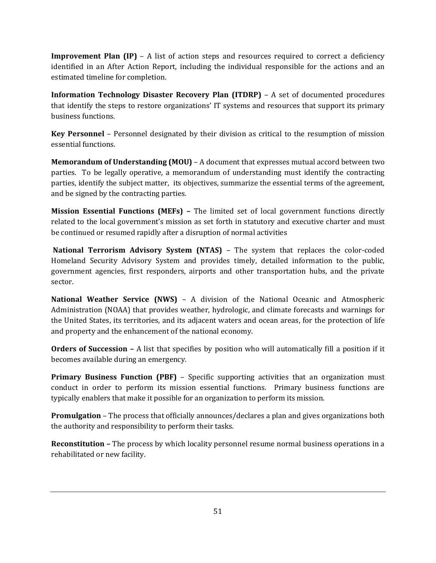**Improvement Plan (IP)** – A list of action steps and resources required to correct a deficiency identified in an After Action Report, including the individual responsible for the actions and an estimated timeline for completion.

**Information Technology Disaster Recovery Plan (ITDRP)** – A set of documented procedures that identify the steps to restore organizations' IT systems and resources that support its primary business functions.

**Key Personnel** – Personnel designated by their division as critical to the resumption of mission essential functions.

**Memorandum of Understanding (MOU)** – A document that expresses mutual accord between two parties. To be legally operative, a memorandum of understanding must identify the contracting parties, identify the subject matter, its objectives, summarize the essential terms of the agreement, and be signed by the contracting parties.

**Mission Essential Functions (MEFs) –** The limited set of local government functions directly related to the local government's mission as set forth in statutory and executive charter and must be continued or resumed rapidly after a disruption of normal activities

**National Terrorism Advisory System (NTAS)** – The system that replaces the color-coded Homeland Security Advisory System and provides timely, detailed information to the public, government agencies, first responders, airports and other transportation hubs, and the private sector.

**National Weather Service (NWS)** – A division of the National Oceanic and Atmospheric Administration (NOAA) that provides weather, hydrologic, and climate forecasts and warnings for the United States, its territories, and its adjacent waters and ocean areas, for the protection of life and property and the enhancement of the national economy.

**Orders of Succession –** A list that specifies by position who will automatically fill a position if it becomes available during an emergency.

**Primary Business Function (PBF)** – Specific supporting activities that an organization must conduct in order to perform its mission essential functions. Primary business functions are typically enablers that make it possible for an organization to perform its mission.

**Promulgation** – The process that officially announces/declares a plan and gives organizations both the authority and responsibility to perform their tasks.

**Reconstitution –** The process by which locality personnel resume normal business operations in a rehabilitated or new facility.